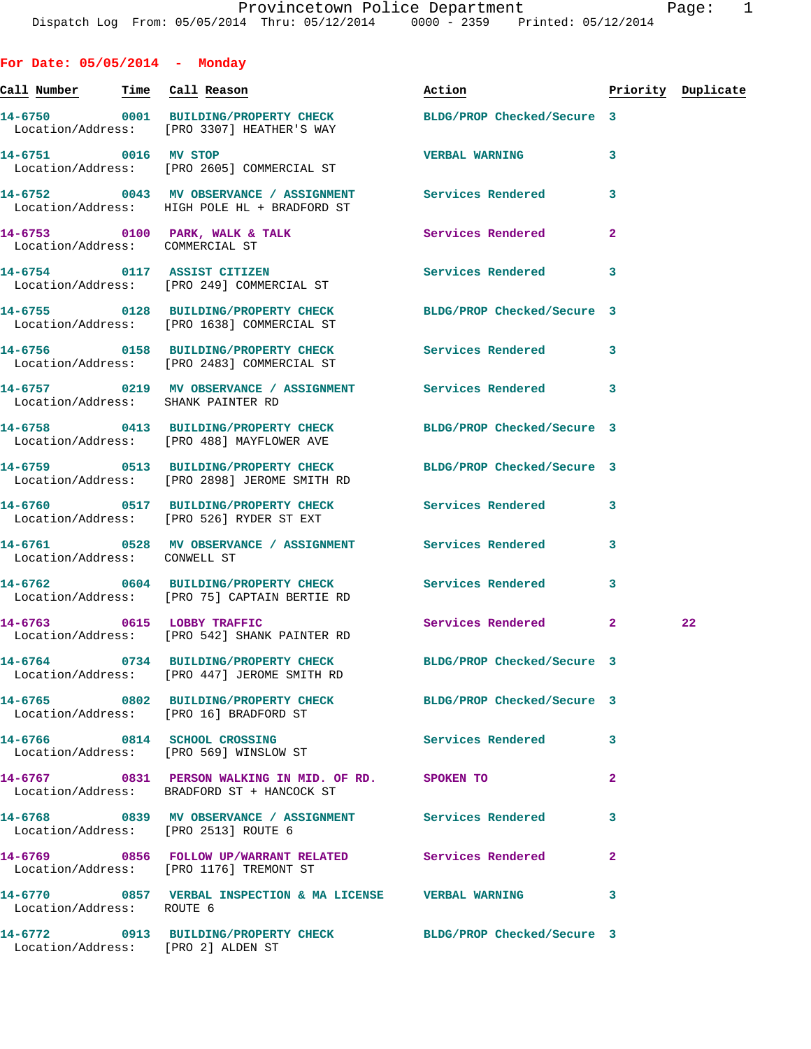**For Date: 05/05/2014 - Monday**

| Call Number Time Call Reason |                                                                                                                 | Action                     |              | Priority Duplicate |
|------------------------------|-----------------------------------------------------------------------------------------------------------------|----------------------------|--------------|--------------------|
|                              | 14-6750 0001 BUILDING/PROPERTY CHECK<br>Location/Address: [PRO 3307] HEATHER'S WAY                              | BLDG/PROP Checked/Secure 3 |              |                    |
| 14-6751 0016 MV STOP         | Location/Address: [PRO 2605] COMMERCIAL ST                                                                      | <b>VERBAL WARNING</b>      | 3            |                    |
|                              | 14-6752 0043 MV OBSERVANCE / ASSIGNMENT Services Rendered<br>Location/Address: HIGH POLE HL + BRADFORD ST       |                            | 3            |                    |
|                              | 14-6753 0100 PARK, WALK & TALK<br>Location/Address: COMMERCIAL ST                                               | Services Rendered          | $\mathbf{2}$ |                    |
|                              | 14-6754 0117 ASSIST CITIZEN<br>Location/Address: [PRO 249] COMMERCIAL ST                                        | Services Rendered          | 3            |                    |
|                              | 14-6755 0128 BUILDING/PROPERTY CHECK<br>Location/Address: [PRO 1638] COMMERCIAL ST                              | BLDG/PROP Checked/Secure 3 |              |                    |
|                              | 14-6756 0158 BUILDING/PROPERTY CHECK<br>Location/Address: [PRO 2483] COMMERCIAL ST                              | <b>Services Rendered</b>   | 3            |                    |
|                              | 14-6757 0219 MV OBSERVANCE / ASSIGNMENT Services Rendered<br>Location/Address: SHANK PAINTER RD                 |                            | 3            |                    |
|                              | 14-6758 0413 BUILDING/PROPERTY CHECK<br>Location/Address: [PRO 488] MAYFLOWER AVE                               | BLDG/PROP Checked/Secure 3 |              |                    |
|                              | 14-6759 0513 BUILDING/PROPERTY CHECK BLDG/PROP Checked/Secure 3<br>Location/Address: [PRO 2898] JEROME SMITH RD |                            |              |                    |
|                              | 14-6760 0517 BUILDING/PROPERTY CHECK Services Rendered<br>Location/Address: [PRO 526] RYDER ST EXT              |                            | 3            |                    |
| Location/Address: CONWELL ST | 14-6761 0528 MV OBSERVANCE / ASSIGNMENT Services Rendered                                                       |                            | 3            |                    |
|                              | 14-6762 0604 BUILDING/PROPERTY CHECK Services Rendered<br>Location/Address: [PRO 75] CAPTAIN BERTIE RD          |                            | 3            |                    |
| 14-6763 0615 LOBBY TRAFFIC   | Location/Address: [PRO 542] SHANK PAINTER RD                                                                    | Services Rendered 2        |              | 22                 |
|                              | 14-6764 0734 BUILDING/PROPERTY CHECK BLDG/PROP Checked/Secure 3<br>Location/Address: [PRO 447] JEROME SMITH RD  |                            |              |                    |
|                              | 14-6765 0802 BUILDING/PROPERTY CHECK BLDG/PROP Checked/Secure 3<br>Location/Address: [PRO 16] BRADFORD ST       |                            |              |                    |
|                              | 14-6766 0814 SCHOOL CROSSING<br>Location/Address: [PRO 569] WINSLOW ST                                          | Services Rendered          | 3            |                    |
|                              | 14-6767 0831 PERSON WALKING IN MID. OF RD. SPOKEN TO<br>Location/Address: BRADFORD ST + HANCOCK ST              |                            | $\mathbf{2}$ |                    |
|                              | 14-6768 0839 MV OBSERVANCE / ASSIGNMENT Services Rendered<br>Location/Address: [PRO 2513] ROUTE 6               |                            | 3            |                    |
|                              | 14-6769 0856 FOLLOW UP/WARRANT RELATED Services Rendered<br>Location/Address: [PRO 1176] TREMONT ST             |                            | $\mathbf{2}$ |                    |
| Location/Address: ROUTE 6    | 14-6770 0857 VERBAL INSPECTION & MA LICENSE VERBAL WARNING                                                      |                            | 3            |                    |
|                              | 14-6772 0913 BUILDING/PROPERTY CHECK BLDG/PROP Checked/Secure 3<br>Location/Address: [PRO 2] ALDEN ST           |                            |              |                    |
|                              |                                                                                                                 |                            |              |                    |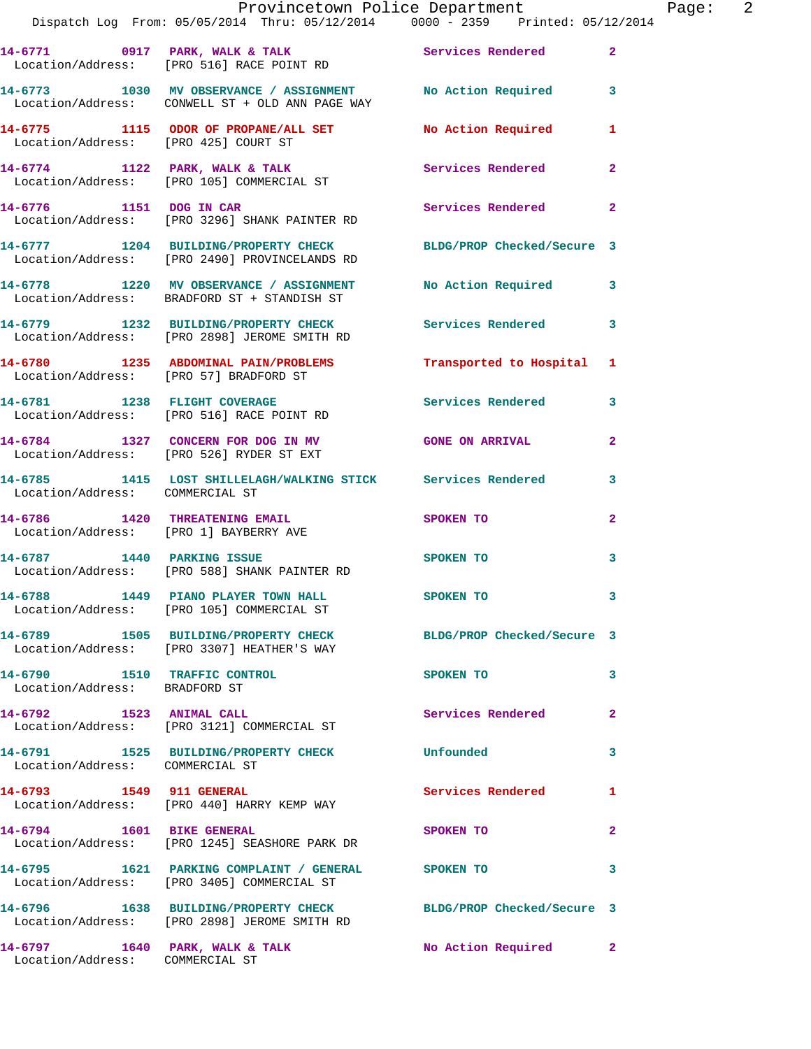|                                                               | Provincetown Police Department The Rage: 2<br>Dispatch Log From: 05/05/2014 Thru: 05/12/2014 0000 - 2359 Printed: 05/12/2014 |                     |                |
|---------------------------------------------------------------|------------------------------------------------------------------------------------------------------------------------------|---------------------|----------------|
|                                                               | 14-6771 0917 PARK, WALK & TALK (Services Rendered 2)<br>Location/Address: [PRO 516] RACE POINT RD                            |                     |                |
|                                                               | 14-6773 1030 MV OBSERVANCE / ASSIGNMENT No Action Required 3<br>Location/Address: CONWELL ST + OLD ANN PAGE WAY              |                     |                |
|                                                               | 14-6775 1115 ODOR OF PROPANE/ALL SET No Action Required 1<br>Location/Address: [PRO 425] COURT ST                            |                     |                |
|                                                               | 14-6774 1122 PARK, WALK & TALK 1997 Services Rendered Location/Address: [PRO 105] COMMERCIAL ST                              |                     | $\mathbf{2}$   |
|                                                               | 14-6776 1151 DOG IN CAR<br>Location/Address: [PRO 3296] SHANK PAINTER RD                                                     | Services Rendered 2 |                |
|                                                               | 14-6777 1204 BUILDING/PROPERTY CHECK BLDG/PROP Checked/Secure 3<br>Location/Address: [PRO 2490] PROVINCELANDS RD             |                     |                |
|                                                               | 14-6778 1220 MV OBSERVANCE / ASSIGNMENT No Action Required 3<br>Location/Address: BRADFORD ST + STANDISH ST                  |                     |                |
|                                                               | 14-6779 1232 BUILDING/PROPERTY CHECK Services Rendered 3<br>Location/Address: [PRO 2898] JEROME SMITH RD                     |                     |                |
|                                                               | 14-6780 1235 ABDOMINAL PAIN/PROBLEMS Transported to Hospital 1<br>Location/Address: [PRO 57] BRADFORD ST                     |                     |                |
|                                                               | 14-6781 1238 FLIGHT COVERAGE Services Rendered 3<br>Location/Address: [PRO 516] RACE POINT RD                                |                     |                |
|                                                               | 14-6784 1327 CONCERN FOR DOG IN MV GONE ON ARRIVAL<br>Location/Address: [PRO 526] RYDER ST EXT                               |                     | $\overline{2}$ |
| Location/Address: COMMERCIAL ST                               | 14-6785 1415 LOST SHILLELAGH/WALKING STICK Services Rendered 3                                                               |                     |                |
|                                                               | 14-6786 1420 THREATENING EMAIL<br>Location/Address: [PRO 1] BAYBERRY AVE                                                     | <b>SPOKEN TO</b>    | $\mathbf{2}$   |
|                                                               | 14-6787 1440 PARKING ISSUE<br>Location/Address: [PRO 588] SHANK PAINTER RD                                                   | <b>SPOKEN TO</b>    | $\mathbf{3}$   |
|                                                               | 14-6788 1449 PIANO PLAYER TOWN HALL SPOKEN TO<br>Location/Address: [PRO 105] COMMERCIAL ST                                   |                     |                |
|                                                               | 14-6789 1505 BUILDING/PROPERTY CHECK BLDG/PROP Checked/Secure 3<br>Location/Address: [PRO 3307] HEATHER'S WAY                |                     |                |
| 14-6790 1510 TRAFFIC CONTROL<br>Location/Address: BRADFORD ST |                                                                                                                              | SPOKEN TO           | 3              |
|                                                               | 14-6792 1523 ANIMAL CALL<br>Location/Address: [PRO 3121] COMMERCIAL ST                                                       | Services Rendered   | $\mathbf{2}$   |
| Location/Address: COMMERCIAL ST                               | 14-6791 1525 BUILDING/PROPERTY CHECK Unfounded                                                                               |                     | 3              |
|                                                               | 14-6793 1549 911 GENERAL<br>Location/Address: [PRO 440] HARRY KEMP WAY                                                       | Services Rendered   | 1              |
| 14-6794 1601 BIKE GENERAL                                     | Location/Address: [PRO 1245] SEASHORE PARK DR                                                                                | SPOKEN TO           | $\mathbf{2}$   |
|                                                               | 14-6795 1621 PARKING COMPLAINT / GENERAL SPOKEN TO<br>Location/Address: [PRO 3405] COMMERCIAL ST                             |                     | 3              |
|                                                               | 14-6796 1638 BUILDING/PROPERTY CHECK BLDG/PROP Checked/Secure 3<br>Location/Address: [PRO 2898] JEROME SMITH RD              |                     |                |
| Location/Address: COMMERCIAL ST                               | 14-6797 1640 PARK, WALK & TALK 1999 No Action Required 2                                                                     |                     |                |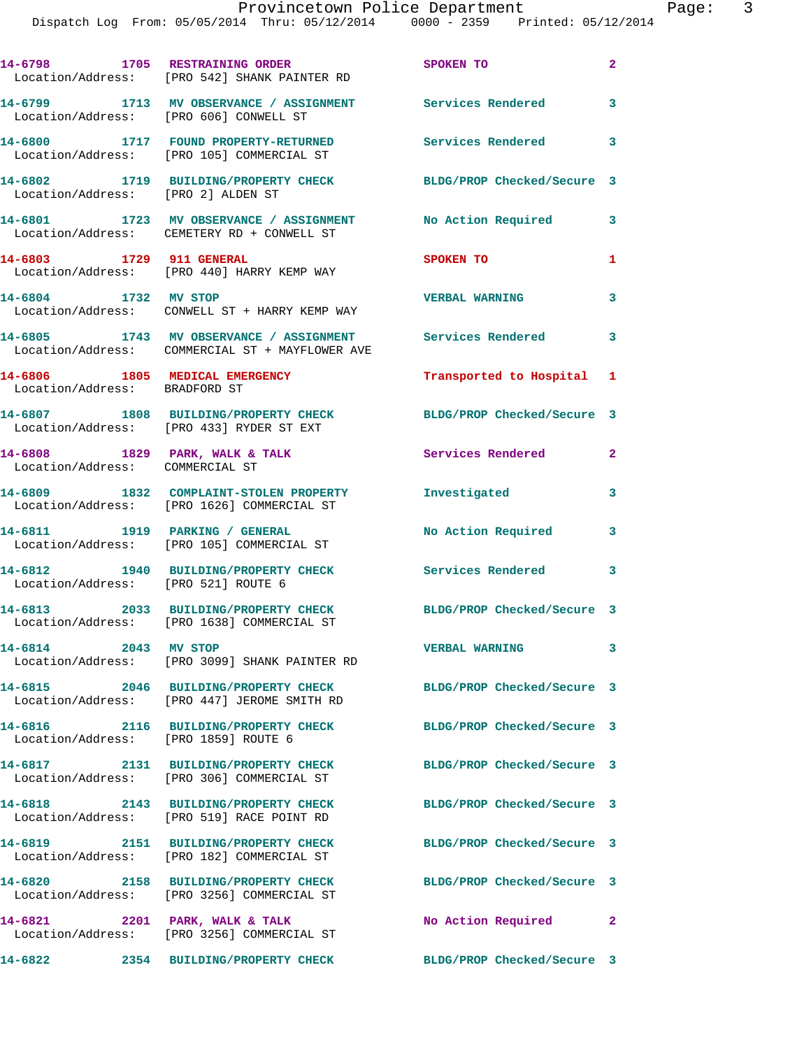Dispatch Log From: 05/05/2014 Thru: 05/12/2014 0000 - 2359 Printed: 05/12/2014

|                                                                 | 14-6798 1705 RESTRAINING ORDER<br>Location/Address: [PRO 542] SHANK PAINTER RD                               | SPOKEN TO                  | $\mathbf{2}$ |
|-----------------------------------------------------------------|--------------------------------------------------------------------------------------------------------------|----------------------------|--------------|
| Location/Address: [PRO 606] CONWELL ST                          | 14-6799 1713 MV OBSERVANCE / ASSIGNMENT                                                                      | Services Rendered          | 3            |
|                                                                 | 14-6800 1717 FOUND PROPERTY-RETURNED<br>Location/Address: [PRO 105] COMMERCIAL ST                            | <b>Services Rendered</b>   | 3            |
| Location/Address: [PRO 2] ALDEN ST                              | 14-6802 1719 BUILDING/PROPERTY CHECK                                                                         | BLDG/PROP Checked/Secure 3 |              |
|                                                                 | 14-6801 1723 MV OBSERVANCE / ASSIGNMENT<br>Location/Address: CEMETERY RD + CONWELL ST                        | No Action Required         | 3            |
| 14-6803 1729 911 GENERAL                                        | Location/Address: [PRO 440] HARRY KEMP WAY                                                                   | <b>SPOKEN TO</b>           | 1            |
| 14-6804 1732 MV STOP                                            | Location/Address: CONWELL ST + HARRY KEMP WAY                                                                | <b>VERBAL WARNING</b>      | 3            |
|                                                                 | 14-6805 1743 MV OBSERVANCE / ASSIGNMENT Services Rendered<br>Location/Address: COMMERCIAL ST + MAYFLOWER AVE |                            | 3            |
| 14-6806 1805 MEDICAL EMERGENCY<br>Location/Address: BRADFORD ST |                                                                                                              | Transported to Hospital 1  |              |
|                                                                 | 14-6807 1808 BUILDING/PROPERTY CHECK<br>Location/Address: [PRO 433] RYDER ST EXT                             | BLDG/PROP Checked/Secure 3 |              |
| Location/Address: COMMERCIAL ST                                 | 14-6808 1829 PARK, WALK & TALK                                                                               | Services Rendered          | $\mathbf{2}$ |
|                                                                 | 14-6809 1832 COMPLAINT-STOLEN PROPERTY<br>Location/Address: [PRO 1626] COMMERCIAL ST                         | Investigated               | 3            |
| 14-6811 1919 PARKING / GENERAL                                  | Location/Address: [PRO 105] COMMERCIAL ST                                                                    | No Action Required         | 3            |
| Location/Address: [PRO 521] ROUTE 6                             | 14-6812 1940 BUILDING/PROPERTY CHECK                                                                         | Services Rendered          | 3            |
|                                                                 | 14-6813 2033 BUILDING/PROPERTY CHECK<br>Location/Address: [PRO 1638] COMMERCIAL ST                           | BLDG/PROP Checked/Secure 3 |              |
| 14-6814 2043 MV STOP                                            | Location/Address: [PRO 3099] SHANK PAINTER RD                                                                | <b>VERBAL WARNING</b>      | 3            |
|                                                                 | 14-6815 2046 BUILDING/PROPERTY CHECK<br>Location/Address: [PRO 447] JEROME SMITH RD                          | BLDG/PROP Checked/Secure 3 |              |
| Location/Address: [PRO 1859] ROUTE 6                            | 14-6816 2116 BUILDING/PROPERTY CHECK                                                                         | BLDG/PROP Checked/Secure 3 |              |
|                                                                 | 14-6817 2131 BUILDING/PROPERTY CHECK<br>Location/Address: [PRO 306] COMMERCIAL ST                            | BLDG/PROP Checked/Secure 3 |              |
|                                                                 | 14-6818 2143 BUILDING/PROPERTY CHECK<br>Location/Address: [PRO 519] RACE POINT RD                            | BLDG/PROP Checked/Secure 3 |              |
|                                                                 | 14-6819 2151 BUILDING/PROPERTY CHECK<br>Location/Address: [PRO 182] COMMERCIAL ST                            | BLDG/PROP Checked/Secure 3 |              |
|                                                                 | 14-6820 2158 BUILDING/PROPERTY CHECK<br>Location/Address: [PRO 3256] COMMERCIAL ST                           | BLDG/PROP Checked/Secure 3 |              |
| 14-6821 2201 PARK, WALK & TALK                                  | Location/Address: [PRO 3256] COMMERCIAL ST                                                                   | No Action Required 2       |              |
| 14-6822                                                         | 2354 BUILDING/PROPERTY CHECK                                                                                 | BLDG/PROP Checked/Secure 3 |              |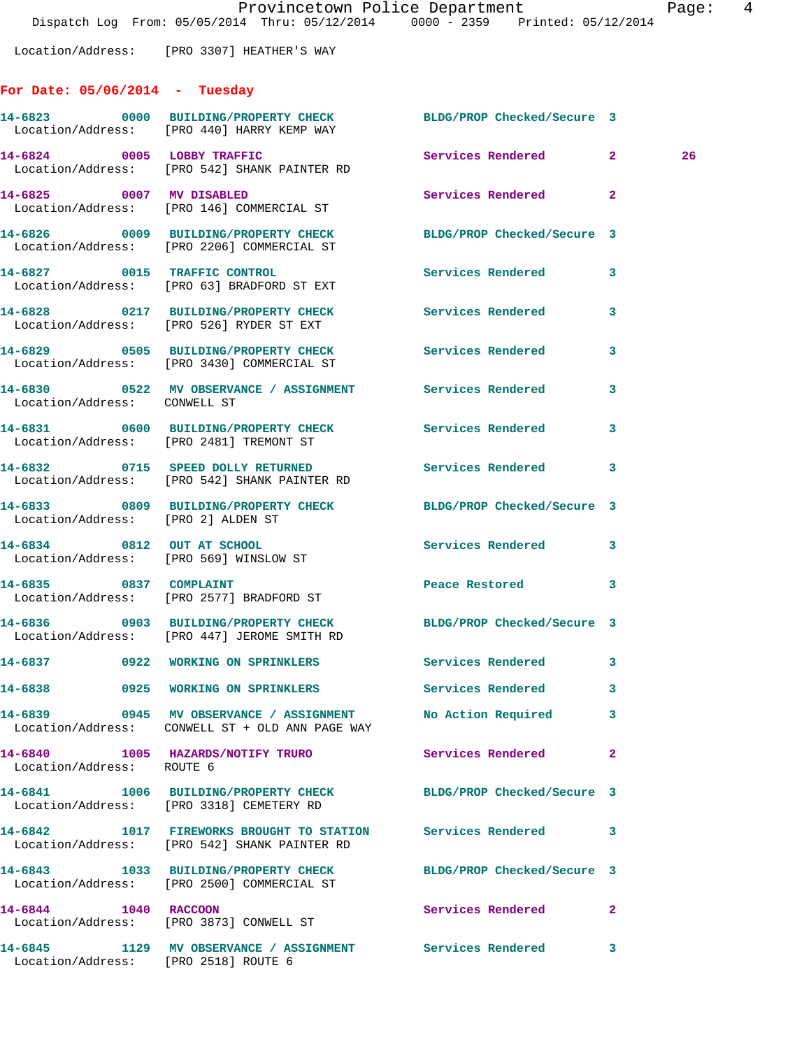Dispatch Log From: 05/05/2014 Thru: 05/12/2014 0000 - 2359 Printed: 05/12/2014 Location/Address: [PRO 3307] HEATHER'S WAY **For Date: 05/06/2014 - Tuesday 14-6823 0000 BUILDING/PROPERTY CHECK BLDG/PROP Checked/Secure 3**  Location/Address: [PRO 440] HARRY KEMP WAY **14-6824 0005 LOBBY TRAFFIC Services Rendered 2 26**  Location/Address: [PRO 542] SHANK PAINTER RD **14-6825 0007 MV DISABLED Services Rendered 2**  Location/Address: [PRO 146] COMMERCIAL ST **14-6826 0009 BUILDING/PROPERTY CHECK BLDG/PROP Checked/Secure 3**  Location/Address: [PRO 2206] COMMERCIAL ST **14-6827 0015 TRAFFIC CONTROL Services Rendered 3**  Location/Address: [PRO 63] BRADFORD ST EXT **14-6828 0217 BUILDING/PROPERTY CHECK Services Rendered 3**  Location/Address: [PRO 526] RYDER ST EXT **14-6829 0505 BUILDING/PROPERTY CHECK Services Rendered 3**  Location/Address: [PRO 3430] COMMERCIAL ST **14-6830 0522 MV OBSERVANCE / ASSIGNMENT Services Rendered 3**  Location/Address: CONWELL ST **14-6831 0600 BUILDING/PROPERTY CHECK Services Rendered 3**  Location/Address: [PRO 2481] TREMONT ST **14-6832 0715 SPEED DOLLY RETURNED Services Rendered 3**  Location/Address: [PRO 542] SHANK PAINTER RD **14-6833 0809 BUILDING/PROPERTY CHECK BLDG/PROP Checked/Secure 3**  Location/Address: [PRO 2] ALDEN ST

**14-6834 0812 OUT AT SCHOOL Services Rendered 3**  Location/Address: [PRO 569] WINSLOW ST **14-6835 0837 COMPLAINT Peace Restored 3**  Location/Address: [PRO 2577] BRADFORD ST **14-6836 0903 BUILDING/PROPERTY CHECK BLDG/PROP Checked/Secure 3**  Location/Address: [PRO 447] JEROME SMITH RD **14-6837 0922 WORKING ON SPRINKLERS Services Rendered 3 14-6838 0925 WORKING ON SPRINKLERS Services Rendered 3 14-6839 0945 MV OBSERVANCE / ASSIGNMENT No Action Required 3** 

 Location/Address: CONWELL ST + OLD ANN PAGE WAY **14-6840 1005 HAZARDS/NOTIFY TRURO Services Rendered 2**  Location/Address: ROUTE 6 **14-6841 1006 BUILDING/PROPERTY CHECK BLDG/PROP Checked/Secure 3**  Location/Address: [PRO 3318] CEMETERY RD **14-6842 1017 FIREWORKS BROUGHT TO STATION Services Rendered 3**  Location/Address: [PRO 542] SHANK PAINTER RD **14-6843 1033 BUILDING/PROPERTY CHECK BLDG/PROP Checked/Secure 3**  Location/Address: [PRO 2500] COMMERCIAL ST **14-6844 1040 RACCOON Services Rendered 2**  Location/Address: [PRO 3873] CONWELL ST **14-6845 1129 MV OBSERVANCE / ASSIGNMENT Services Rendered 3** 

Location/Address: [PRO 2518] ROUTE 6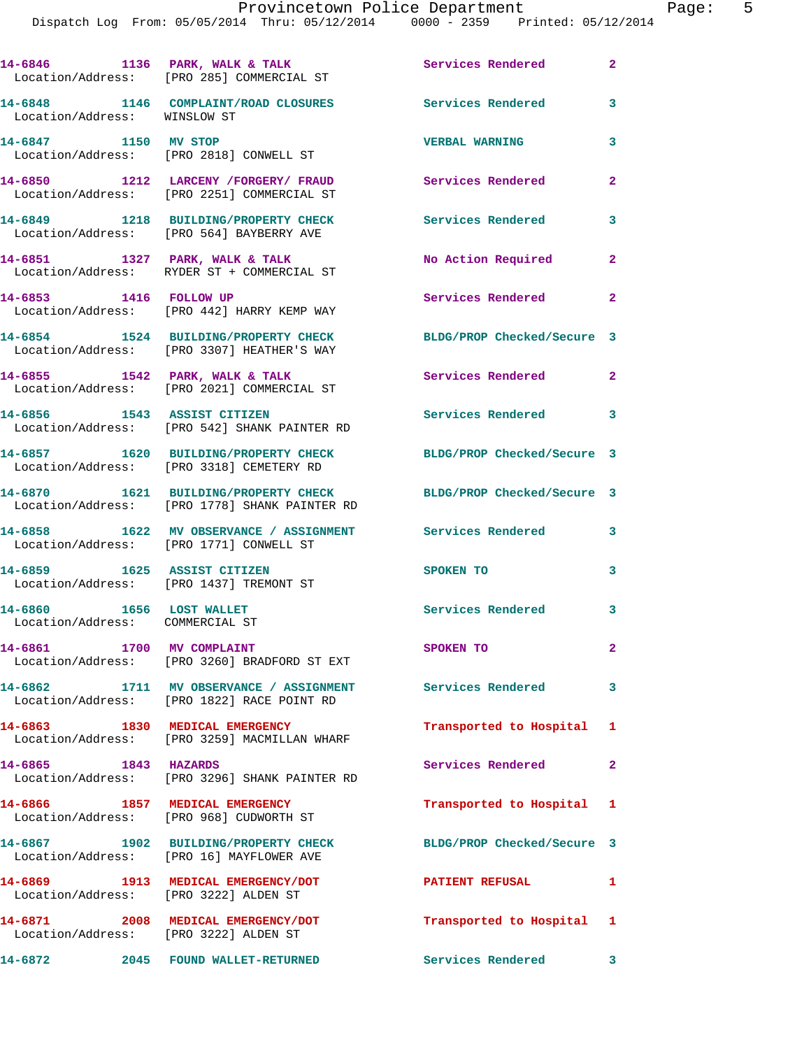Dispatch Log From: 05/05/2014 Thru: 05/12/2014 0000 - 2359 Printed: 05/12/2014 14-6846 **1136 PARK, WALK & TALK Services Rendered** 2 Location/Address: [PRO 285] COMMERCIAL ST **14-6848 1146 COMPLAINT/ROAD CLOSURES Services Rendered 3**  Location/Address: WINSLOW ST **14-6847 1150 MV STOP VERBAL WARNING 3**  Location/Address: [PRO 2818] CONWELL ST **14-6850 1212 LARCENY /FORGERY/ FRAUD Services Rendered 2**  Location/Address: [PRO 2251] COMMERCIAL ST **14-6849 1218 BUILDING/PROPERTY CHECK Services Rendered 3**  Location/Address: [PRO 564] BAYBERRY AVE **14-6851 1327 PARK, WALK & TALK No Action Required 2**  Location/Address: RYDER ST + COMMERCIAL ST **14-6853 1416 FOLLOW UP Services Rendered 2**  Location/Address: [PRO 442] HARRY KEMP WAY **14-6854 1524 BUILDING/PROPERTY CHECK BLDG/PROP Checked/Secure 3**  Location/Address: [PRO 3307] HEATHER'S WAY 14-6855 1542 PARK, WALK & TALK **Services Rendered** 2 Location/Address: [PRO 2021] COMMERCIAL ST **14-6856 1543 ASSIST CITIZEN Services Rendered 3**  Location/Address: [PRO 542] SHANK PAINTER RD **14-6857 1620 BUILDING/PROPERTY CHECK BLDG/PROP Checked/Secure 3**  Location/Address: [PRO 3318] CEMETERY RD **14-6870 1621 BUILDING/PROPERTY CHECK BLDG/PROP Checked/Secure 3**  Location/Address: [PRO 1778] SHANK PAINTER RD **14-6858 1622 MV OBSERVANCE / ASSIGNMENT Services Rendered 3**  Location/Address: [PRO 1771] CONWELL ST **14-6859 1625 ASSIST CITIZEN SPOKEN TO 3**  Location/Address: [PRO 1437] TREMONT ST 14-6860 1656 LOST WALLET **14-6860** Services Rendered 3 Location/Address: COMMERCIAL ST **14-6861 1700 MV COMPLAINT SPOKEN TO 2**  Location/Address: [PRO 3260] BRADFORD ST EXT **14-6862 1711 MV OBSERVANCE / ASSIGNMENT Services Rendered 3**  Location/Address: [PRO 1822] RACE POINT RD **14-6863 1830 MEDICAL EMERGENCY Transported to Hospital 1**  Location/Address: [PRO 3259] MACMILLAN WHARF **14-6865 1843 HAZARDS Services Rendered 2**  Location/Address: [PRO 3296] SHANK PAINTER RD **14-6866 1857 MEDICAL EMERGENCY Transported to Hospital 1**  Location/Address: [PRO 968] CUDWORTH ST **14-6867 1902 BUILDING/PROPERTY CHECK BLDG/PROP Checked/Secure 3** 

 Location/Address: [PRO 16] MAYFLOWER AVE **14-6869 1913 MEDICAL EMERGENCY/DOT PATIENT REFUSAL 1**  Location/Address: [PRO 3222] ALDEN ST **14-6871 2008 MEDICAL EMERGENCY/DOT Transported to Hospital 1**  Location/Address: [PRO 3222] ALDEN ST **14-6872 2045 FOUND WALLET-RETURNED Services Rendered 3**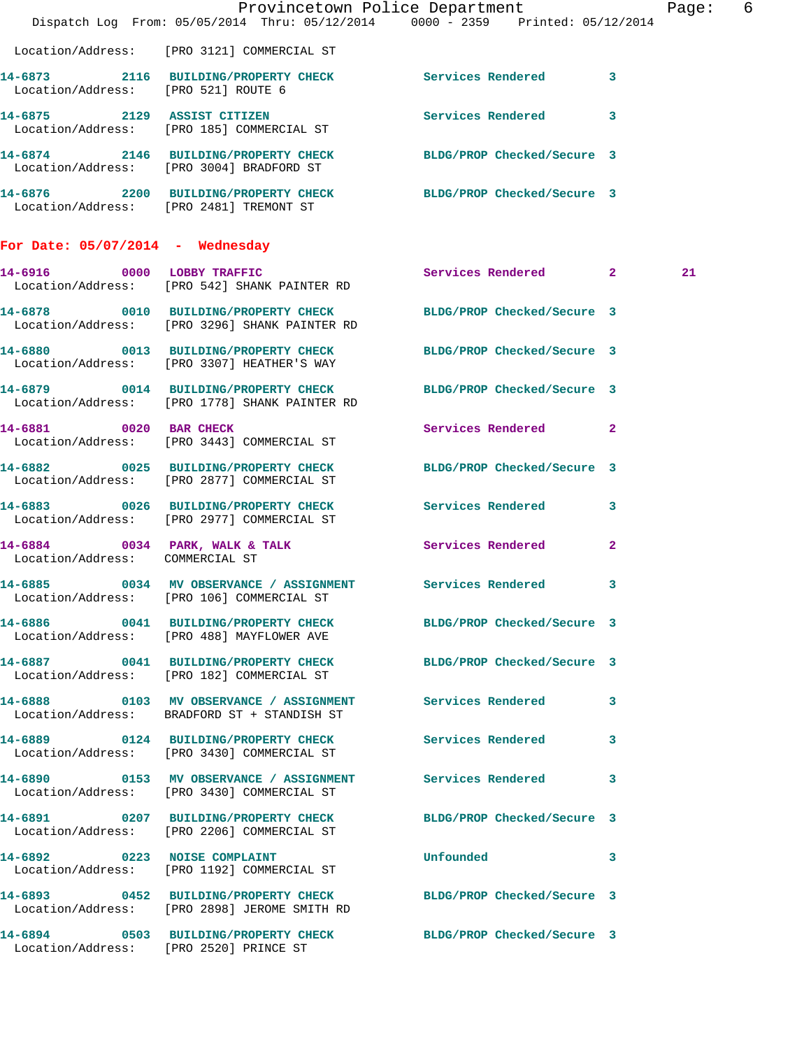|                                     | Dispatch Log From: 05/05/2014 Thru: 05/12/2014 0000 - 2359 Printed: 05/12/2014                                   | Provincetown Police Department       | Page: 6 |
|-------------------------------------|------------------------------------------------------------------------------------------------------------------|--------------------------------------|---------|
|                                     | Location/Address: [PRO 3121] COMMERCIAL ST                                                                       |                                      |         |
| Location/Address: [PRO 521] ROUTE 6 | 14-6873 2116 BUILDING/PROPERTY CHECK Services Rendered 3                                                         |                                      |         |
|                                     | 14-6875 2129 ASSIST CITIZEN<br>Location/Address: [PRO 185] COMMERCIAL ST                                         | Services Rendered 3                  |         |
|                                     | 14-6874 2146 BUILDING/PROPERTY CHECK BLDG/PROP Checked/Secure 3<br>Location/Address: [PRO 3004] BRADFORD ST      |                                      |         |
|                                     | 14-6876 2200 BUILDING/PROPERTY CHECK BLDG/PROP Checked/Secure 3<br>Location/Address: [PRO 2481] TREMONT ST       |                                      |         |
| For Date: $05/07/2014$ - Wednesday  |                                                                                                                  |                                      |         |
|                                     | 14-6916 0000 LOBBY TRAFFIC<br>Location/Address: [PRO 542] SHANK PAINTER RD                                       | Services Rendered 2                  | 21      |
|                                     | 14-6878 0010 BUILDING/PROPERTY CHECK BLDG/PROP Checked/Secure 3<br>Location/Address: [PRO 3296] SHANK PAINTER RD |                                      |         |
|                                     | 14-6880 0013 BUILDING/PROPERTY CHECK BLDG/PROP Checked/Secure 3<br>Location/Address: [PRO 3307] HEATHER'S WAY    |                                      |         |
|                                     | 14-6879 0014 BUILDING/PROPERTY CHECK BLDG/PROP Checked/Secure 3<br>Location/Address: [PRO 1778] SHANK PAINTER RD |                                      |         |
|                                     | 14-6881 0020 BAR CHECK<br>Location/Address: [PRO 3443] COMMERCIAL ST                                             | Services Rendered 2                  |         |
|                                     | 14-6882 0025 BUILDING/PROPERTY CHECK<br>Location/Address: [PRO 2877] COMMERCIAL ST                               | BLDG/PROP Checked/Secure 3           |         |
|                                     | 14-6883 0026 BUILDING/PROPERTY CHECK Services Rendered 3<br>Location/Address: [PRO 2977] COMMERCIAL ST           |                                      |         |
| Location/Address: COMMERCIAL ST     | 14-6884 0034 PARK, WALK & TALK Services Rendered                                                                 | $\mathbf{2}$                         |         |
|                                     | 14-6885 0034 MV OBSERVANCE / ASSIGNMENT Services Rendered 3<br>Location/Address: [PRO 106] COMMERCIAL ST         |                                      |         |
|                                     | 14-6886 0041 BUILDING/PROPERTY CHECK BLDG/PROP Checked/Secure 3<br>Location/Address: [PRO 488] MAYFLOWER AVE     |                                      |         |
|                                     | 14-6887 0041 BUILDING/PROPERTY CHECK BLDG/PROP Checked/Secure 3<br>Location/Address: [PRO 182] COMMERCIAL ST     |                                      |         |
|                                     | 14-6888 6103 MV OBSERVANCE / ASSIGNMENT Services Rendered 3<br>Location/Address: BRADFORD ST + STANDISH ST       |                                      |         |
|                                     | 14-6889 0124 BUILDING/PROPERTY CHECK Services Rendered 3<br>Location/Address: [PRO 3430] COMMERCIAL ST           |                                      |         |
|                                     | 14-6890 0153 MV OBSERVANCE / ASSIGNMENT Services Rendered 3<br>Location/Address: [PRO 3430] COMMERCIAL ST        |                                      |         |
|                                     | 14-6891 0207 BUILDING/PROPERTY CHECK BLDG/PROP Checked/Secure 3<br>Location/Address: [PRO 2206] COMMERCIAL ST    |                                      |         |
|                                     | 14-6892 0223 NOISE COMPLAINT<br>Location/Address: [PRO 1192] COMMERCIAL ST                                       | Unfounded<br>$\overline{\mathbf{3}}$ |         |
|                                     | 14-6893 0452 BUILDING/PROPERTY CHECK BLDG/PROP Checked/Secure 3<br>Location/Address: [PRO 2898] JEROME SMITH RD  |                                      |         |
|                                     | 14-6894 0503 BUILDING/PROPERTY CHECK BLDG/PROP Checked/Secure 3<br>Location/Address: [PRO 2520] PRINCE ST        |                                      |         |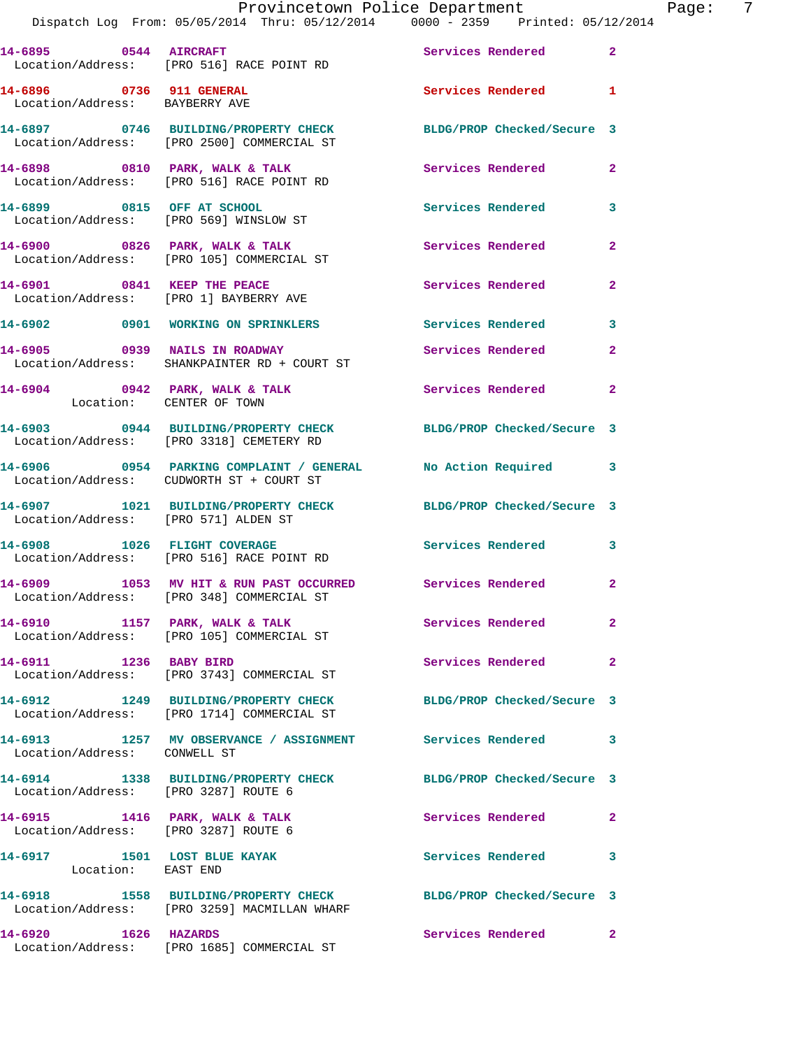|                                                            | Dispatch Log From: 05/05/2014 Thru: 05/12/2014 0000 - 2359 Printed: 05/12/2014                                  | Provincetown Police Department | - 7<br>Page: |
|------------------------------------------------------------|-----------------------------------------------------------------------------------------------------------------|--------------------------------|--------------|
|                                                            | 14-6895 0544 AIRCRAFT<br>Location/Address: [PRO 516] RACE POINT RD                                              | Services Rendered 2            |              |
| 14-6896 0736 911 GENERAL<br>Location/Address: BAYBERRY AVE |                                                                                                                 | Services Rendered 1            |              |
|                                                            | 14-6897 0746 BUILDING/PROPERTY CHECK BLDG/PROP Checked/Secure 3<br>Location/Address: [PRO 2500] COMMERCIAL ST   |                                |              |
|                                                            | 14-6898 0810 PARK, WALK & TALK 3 Services Rendered 2<br>Location/Address: [PRO 516] RACE POINT RD               |                                |              |
|                                                            | 14-6899 0815 OFF AT SCHOOL<br>Location/Address: [PRO 569] WINSLOW ST                                            | Services Rendered 3            |              |
|                                                            | 14-6900 0826 PARK, WALK & TALK 2008 Services Rendered<br>Location/Address: [PRO 105] COMMERCIAL ST              |                                | $\mathbf{2}$ |
|                                                            | 14-6901 0841 KEEP THE PEACE<br>Location/Address: [PRO 1] BAYBERRY AVE                                           | Services Rendered 2            |              |
|                                                            | 14-6902 0901 WORKING ON SPRINKLERS Services Rendered 3                                                          |                                |              |
|                                                            | 14-6905 0939 NAILS IN ROADWAY<br>Location/Address: SHANKPAINTER RD + COURT ST                                   | <b>Services Rendered</b>       | $\mathbf{2}$ |
| Location: CENTER OF TOWN                                   | 14-6904 0942 PARK, WALK & TALK 6 Services Rendered 2                                                            |                                |              |
|                                                            | 14-6903 0944 BUILDING/PROPERTY CHECK BLDG/PROP Checked/Secure 3<br>Location/Address: [PRO 3318] CEMETERY RD     |                                |              |
|                                                            | 14-6906 0954 PARKING COMPLAINT / GENERAL No Action Required 3<br>Location/Address: CUDWORTH ST + COURT ST       |                                |              |
| Location/Address: [PRO 571] ALDEN ST                       | 14-6907 1021 BUILDING/PROPERTY CHECK BLDG/PROP Checked/Secure 3                                                 |                                |              |
|                                                            | 14-6908 1026 FLIGHT COVERAGE<br>Location/Address: [PRO 516] RACE POINT RD                                       | Services Rendered 3            |              |
| 14-6909                                                    | 1053 MV HIT & RUN PAST OCCURRED Services Rendered 2<br>Location/Address: [PRO 348] COMMERCIAL ST                |                                |              |
|                                                            | 14-6910 1157 PARK, WALK & TALK Services Rendered<br>Location/Address: [PRO 105] COMMERCIAL ST                   |                                | $\mathbf{2}$ |
|                                                            | 14-6911 1236 BABY BIRD<br>Location/Address: [PRO 3743] COMMERCIAL ST                                            | Services Rendered 2            |              |
|                                                            | 14-6912 1249 BUILDING/PROPERTY CHECK BLDG/PROP Checked/Secure 3<br>Location/Address: [PRO 1714] COMMERCIAL ST   |                                |              |
| Location/Address: CONWELL ST                               | 14-6913 1257 MV OBSERVANCE / ASSIGNMENT Services Rendered 3                                                     |                                |              |
| Location/Address: [PRO 3287] ROUTE 6                       | 14-6914 1338 BUILDING/PROPERTY CHECK BLDG/PROP Checked/Secure 3                                                 |                                |              |
|                                                            | 14-6915 1416 PARK, WALK & TALK<br>Location/Address: [PRO 3287] ROUTE 6                                          | Services Rendered 2            |              |
| 14-6917 1501 LOST BLUE KAYAK<br>Location: EAST END         |                                                                                                                 | Services Rendered 3            |              |
|                                                            | 14-6918 1558 BUILDING/PROPERTY CHECK BLDG/PROP Checked/Secure 3<br>Location/Address: [PRO 3259] MACMILLAN WHARF |                                |              |
| 14-6920 1626 HAZARDS                                       | Location/Address: [PRO 1685] COMMERCIAL ST                                                                      | Services Rendered 2            |              |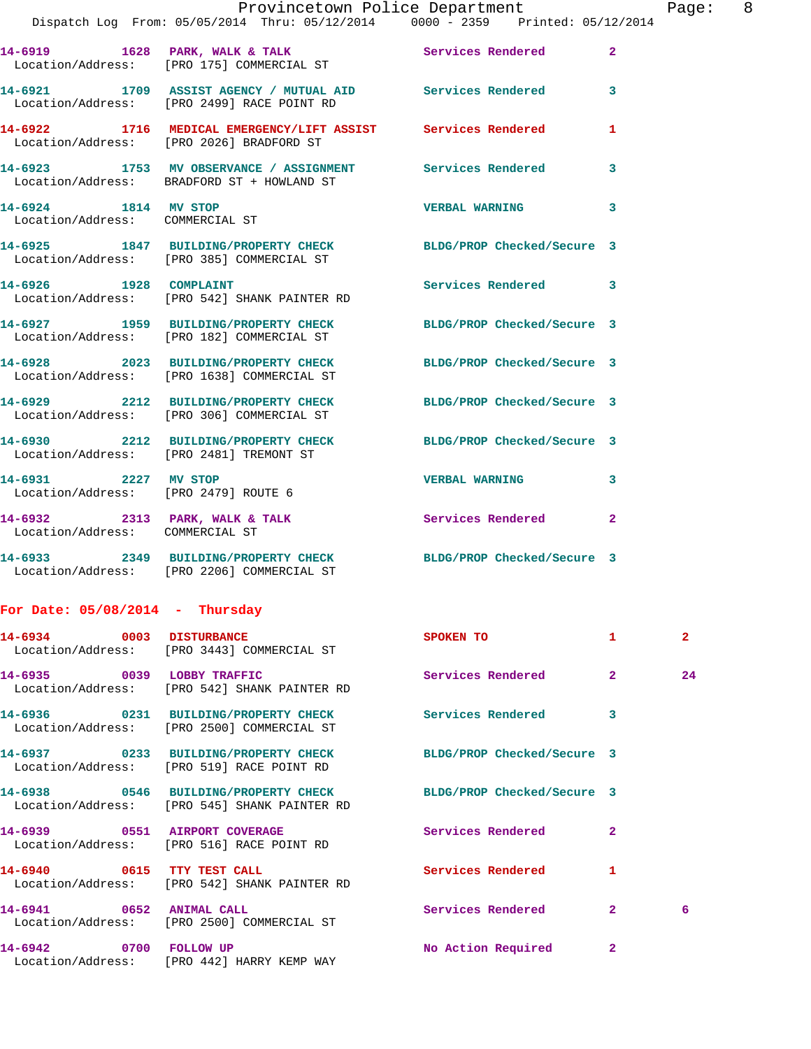| Dispatch Log From: 05/05/2014 Thru: 05/12/2014 0000 - 2359 Printed: 05/12/2014<br>14-6919 1628 PARK, WALK & TALK 3 Services Rendered 2<br>Location/Address: [PRO 175] COMMERCIAL ST<br>14-6921 1709 ASSIST AGENCY / MUTUAL AID Services Rendered 3<br>Location/Address: [PRO 2499] RACE POINT RD<br>14-6922 1716 MEDICAL EMERGENCY/LIFT ASSIST Services Rendered<br>$\mathbf{1}$<br>Location/Address: [PRO 2026] BRADFORD ST<br>14-6923 1753 MV OBSERVANCE / ASSIGNMENT Services Rendered 3<br>Location/Address: BRADFORD ST + HOWLAND ST<br>14-6924 1814 MV STOP<br><b>VERBAL WARNING</b><br>$\mathbf{3}$<br>Location/Address: COMMERCIAL ST<br>14-6925 1847 BUILDING/PROPERTY CHECK BLDG/PROP Checked/Secure 3<br>Location/Address: [PRO 385] COMMERCIAL ST | Page: 8      |  |
|---------------------------------------------------------------------------------------------------------------------------------------------------------------------------------------------------------------------------------------------------------------------------------------------------------------------------------------------------------------------------------------------------------------------------------------------------------------------------------------------------------------------------------------------------------------------------------------------------------------------------------------------------------------------------------------------------------------------------------------------------------------|--------------|--|
|                                                                                                                                                                                                                                                                                                                                                                                                                                                                                                                                                                                                                                                                                                                                                               |              |  |
|                                                                                                                                                                                                                                                                                                                                                                                                                                                                                                                                                                                                                                                                                                                                                               |              |  |
|                                                                                                                                                                                                                                                                                                                                                                                                                                                                                                                                                                                                                                                                                                                                                               |              |  |
|                                                                                                                                                                                                                                                                                                                                                                                                                                                                                                                                                                                                                                                                                                                                                               |              |  |
|                                                                                                                                                                                                                                                                                                                                                                                                                                                                                                                                                                                                                                                                                                                                                               |              |  |
|                                                                                                                                                                                                                                                                                                                                                                                                                                                                                                                                                                                                                                                                                                                                                               |              |  |
| 14-6926 1928 COMPLAINT<br>Services Rendered 3<br>Location/Address: [PRO 542] SHANK PAINTER RD                                                                                                                                                                                                                                                                                                                                                                                                                                                                                                                                                                                                                                                                 |              |  |
| 14-6927 1959 BUILDING/PROPERTY CHECK BLDG/PROP Checked/Secure 3<br>Location/Address: [PRO 182] COMMERCIAL ST                                                                                                                                                                                                                                                                                                                                                                                                                                                                                                                                                                                                                                                  |              |  |
| 14-6928 2023 BUILDING/PROPERTY CHECK<br>BLDG/PROP Checked/Secure 3<br>Location/Address: [PRO 1638] COMMERCIAL ST                                                                                                                                                                                                                                                                                                                                                                                                                                                                                                                                                                                                                                              |              |  |
| 14-6929 2212 BUILDING/PROPERTY CHECK BLDG/PROP Checked/Secure 3<br>Location/Address: [PRO 306] COMMERCIAL ST                                                                                                                                                                                                                                                                                                                                                                                                                                                                                                                                                                                                                                                  |              |  |
| 14-6930 2212 BUILDING/PROPERTY CHECK BLDG/PROP Checked/Secure 3<br>Location/Address: [PRO 2481] TREMONT ST                                                                                                                                                                                                                                                                                                                                                                                                                                                                                                                                                                                                                                                    |              |  |
| 14-6931 2227 MV STOP<br>VERBAL WARNING 3<br>Location/Address: [PRO 2479] ROUTE 6                                                                                                                                                                                                                                                                                                                                                                                                                                                                                                                                                                                                                                                                              |              |  |
| 14-6932 2313 PARK, WALK & TALK 2 Services Rendered 2<br>Location/Address: COMMERCIAL ST                                                                                                                                                                                                                                                                                                                                                                                                                                                                                                                                                                                                                                                                       |              |  |
| 14-6933 2349 BUILDING/PROPERTY CHECK BLDG/PROP Checked/Secure 3<br>Location/Address: [PRO 2206] COMMERCIAL ST                                                                                                                                                                                                                                                                                                                                                                                                                                                                                                                                                                                                                                                 |              |  |
| For Date: $05/08/2014$ - Thursday                                                                                                                                                                                                                                                                                                                                                                                                                                                                                                                                                                                                                                                                                                                             |              |  |
| 14-6934 0003 DISTURBANCE<br>SPOKEN TO<br>1.<br>Location/Address: [PRO 3443] COMMERCIAL ST                                                                                                                                                                                                                                                                                                                                                                                                                                                                                                                                                                                                                                                                     | $\mathbf{2}$ |  |
| 14-6935 0039 LOBBY TRAFFIC<br>2 <sup>1</sup><br>Services Rendered<br>Location/Address: [PRO 542] SHANK PAINTER RD                                                                                                                                                                                                                                                                                                                                                                                                                                                                                                                                                                                                                                             | 24           |  |
| Services Rendered<br>3<br>Location/Address: [PRO 2500] COMMERCIAL ST                                                                                                                                                                                                                                                                                                                                                                                                                                                                                                                                                                                                                                                                                          |              |  |
| 14-6937 0233 BUILDING/PROPERTY CHECK<br>BLDG/PROP Checked/Secure 3<br>Location/Address: [PRO 519] RACE POINT RD                                                                                                                                                                                                                                                                                                                                                                                                                                                                                                                                                                                                                                               |              |  |

Location/Address: [PRO 545] SHANK PAINTER RD

Location/Address: [PRO 516] RACE POINT RD

**14-6940 0615 TTY TEST CALL Services Rendered 1**  Location/Address: [PRO 542] SHANK PAINTER RD

Location/Address: [PRO 2500] COMMERCIAL ST

Location/Address: [PRO 442] HARRY KEMP WAY

**14-6938 0546 BUILDING/PROPERTY CHECK BLDG/PROP Checked/Secure 3 14-6939 0551 AIRPORT COVERAGE Services Rendered 2 14-6941 0652 ANIMAL CALL Services Rendered 2 6**  14-6942 0700 FOLLOW UP **No Action Required** 2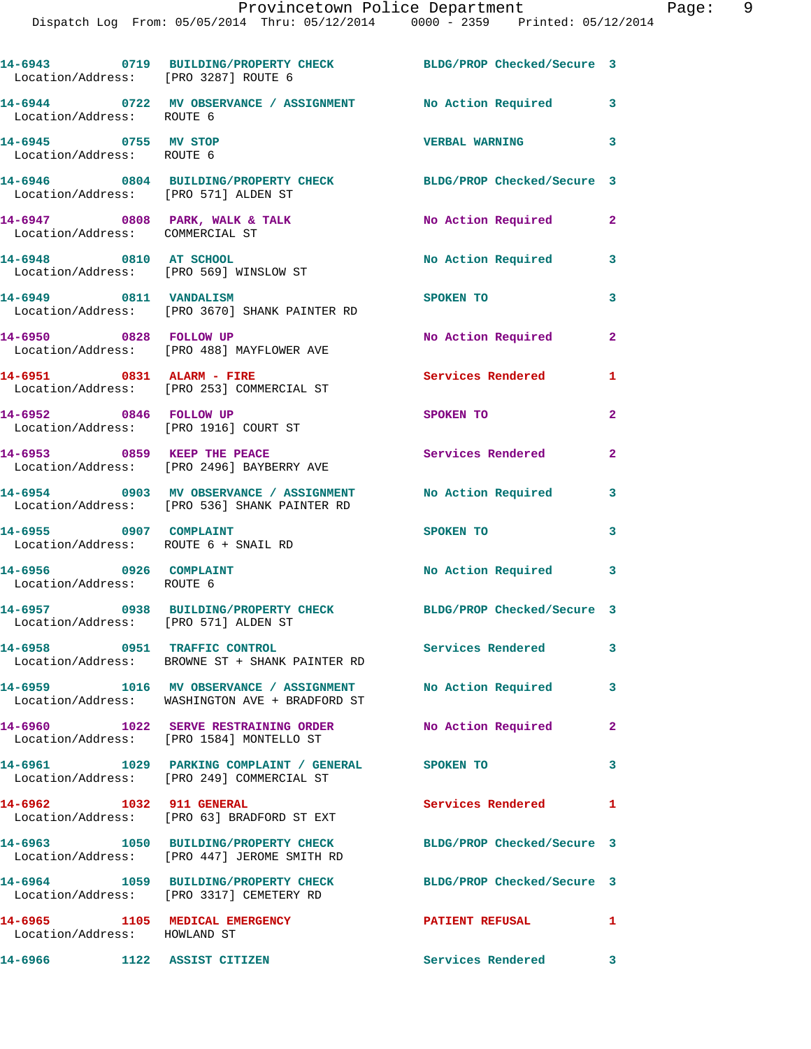| Location/Address: [PRO 3287] ROUTE 6                             | 14-6943 0719 BUILDING/PROPERTY CHECK BLDG/PROP Checked/Secure 3                                                |                            |                            |
|------------------------------------------------------------------|----------------------------------------------------------------------------------------------------------------|----------------------------|----------------------------|
| Location/Address: ROUTE 6                                        | 14-6944 0722 MV OBSERVANCE / ASSIGNMENT No Action Required 3                                                   |                            |                            |
| 14-6945 0755 MV STOP<br>Location/Address: ROUTE 6                |                                                                                                                | <b>VERBAL WARNING</b>      | $\overline{\phantom{a}}$ 3 |
| Location/Address: [PRO 571] ALDEN ST                             | 14-6946 0804 BUILDING/PROPERTY CHECK BLDG/PROP Checked/Secure 3                                                |                            |                            |
| Location/Address: COMMERCIAL ST                                  | $14-6947$ 0808 PARK, WALK & TALK                                                                               | No Action Required         | $\mathbf{2}$               |
| 14-6948 0810 AT SCHOOL<br>Location/Address: [PRO 569] WINSLOW ST |                                                                                                                | No Action Required         | 3                          |
| 14-6949 0811 VANDALISM                                           | Location/Address: [PRO 3670] SHANK PAINTER RD                                                                  | SPOKEN TO                  | 3                          |
| 14-6950 0828 FOLLOW UP                                           | Location/Address: [PRO 488] MAYFLOWER AVE                                                                      | No Action Required         | $\mathbf{2}$               |
| 14-6951 0831 ALARM - FIRE                                        | Location/Address: [PRO 253] COMMERCIAL ST                                                                      | <b>Services Rendered</b>   | 1                          |
| 14-6952 0846 FOLLOW UP                                           | Location/Address: [PRO 1916] COURT ST                                                                          | SPOKEN TO                  | $\overline{2}$             |
|                                                                  | 14-6953 0859 KEEP THE PEACE<br>Location/Address: [PRO 2496] BAYBERRY AVE                                       | Services Rendered          | $\mathbf{2}$               |
|                                                                  | 14-6954 0903 MV OBSERVANCE / ASSIGNMENT No Action Required<br>Location/Address: [PRO 536] SHANK PAINTER RD     |                            | 3                          |
| 14-6955 0907 COMPLAINT<br>Location/Address: ROUTE 6 + SNAIL RD   |                                                                                                                | SPOKEN TO                  | 3                          |
| 14-6956 0926 COMPLAINT<br>Location/Address: ROUTE 6              |                                                                                                                | No Action Required 3       |                            |
| Location/Address: [PRO 571] ALDEN ST                             | 14-6957 0938 BUILDING/PROPERTY CHECK BLDG/PROP Checked/Secure 3                                                |                            |                            |
|                                                                  | 14-6958 0951 TRAFFIC CONTROL<br>Location/Address: BROWNE ST + SHANK PAINTER RD                                 | Services Rendered          | 3                          |
|                                                                  | 14-6959 1016 MV OBSERVANCE / ASSIGNMENT No Action Required 3<br>Location/Address: WASHINGTON AVE + BRADFORD ST |                            |                            |
|                                                                  | 14-6960 1022 SERVE RESTRAINING ORDER<br>Location/Address: [PRO 1584] MONTELLO ST                               | No Action Required         | $\mathbf{2}$               |
|                                                                  | 14-6961 1029 PARKING COMPLAINT / GENERAL SPOKEN TO<br>Location/Address: [PRO 249] COMMERCIAL ST                |                            | 3                          |
| 14-6962 1032 911 GENERAL                                         | Location/Address: [PRO 63] BRADFORD ST EXT                                                                     | Services Rendered          | 1                          |
|                                                                  | 14-6963 1050 BUILDING/PROPERTY CHECK<br>Location/Address: [PRO 447] JEROME SMITH RD                            | BLDG/PROP Checked/Secure 3 |                            |
|                                                                  | 14-6964 1059 BUILDING/PROPERTY CHECK<br>Location/Address: [PRO 3317] CEMETERY RD                               | BLDG/PROP Checked/Secure 3 |                            |
| 14-6965 1105 MEDICAL EMERGENCY<br>Location/Address: HOWLAND ST   |                                                                                                                | <b>PATIENT REFUSAL</b>     | 1                          |
| 14-6966                                                          | 1122 ASSIST CITIZEN                                                                                            | Services Rendered 3        |                            |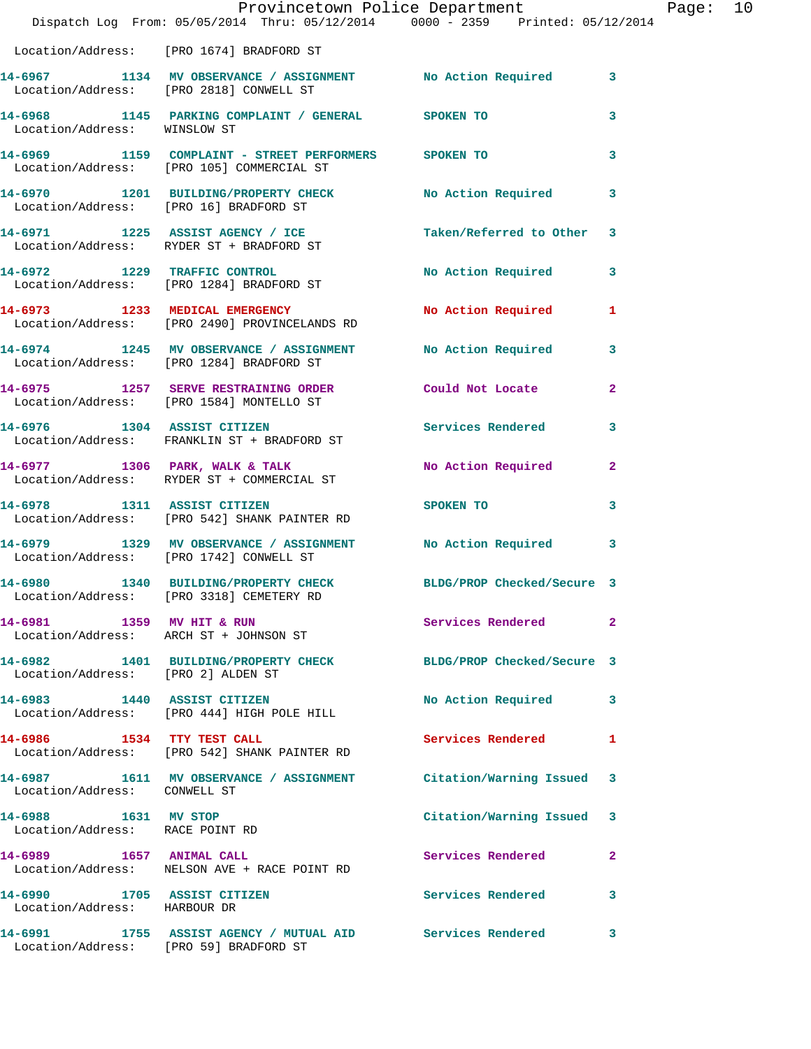|                                                             | Dispatch Log From: 05/05/2014 Thru: 05/12/2014 0000 - 2359 Printed: 05/12/2014                              | Provincetown Police Department |              | Page: 10 |  |
|-------------------------------------------------------------|-------------------------------------------------------------------------------------------------------------|--------------------------------|--------------|----------|--|
|                                                             | Location/Address: [PRO 1674] BRADFORD ST                                                                    |                                |              |          |  |
|                                                             | 14-6967 1134 MV OBSERVANCE / ASSIGNMENT No Action Required 3<br>Location/Address: [PRO 2818] CONWELL ST     |                                |              |          |  |
| Location/Address: WINSLOW ST                                | 14-6968 1145 PARKING COMPLAINT / GENERAL SPOKEN TO                                                          |                                | 3            |          |  |
|                                                             | 14-6969 1159 COMPLAINT - STREET PERFORMERS SPOKEN TO<br>Location/Address: [PRO 105] COMMERCIAL ST           |                                | 3            |          |  |
| Location/Address: [PRO 16] BRADFORD ST                      | 14-6970 1201 BUILDING/PROPERTY CHECK No Action Required                                                     |                                | 3            |          |  |
|                                                             | 14-6971 1225 ASSIST AGENCY / ICE<br>Location/Address: RYDER ST + BRADFORD ST                                | Taken/Referred to Other 3      |              |          |  |
|                                                             | 14-6972 1229 TRAFFIC CONTROL<br>Location/Address: [PRO 1284] BRADFORD ST                                    | <b>No Action Required</b>      | 3            |          |  |
|                                                             | 14-6973 1233 MEDICAL EMERGENCY<br>Location/Address: [PRO 2490] PROVINCELANDS RD                             | No Action Required 1           |              |          |  |
|                                                             | 14-6974 1245 MV OBSERVANCE / ASSIGNMENT No Action Required 3<br>Location/Address: [PRO 1284] BRADFORD ST    |                                |              |          |  |
|                                                             | 14-6975 1257 SERVE RESTRAINING ORDER Could Not Locate<br>Location/Address: [PRO 1584] MONTELLO ST           |                                | $\mathbf{2}$ |          |  |
|                                                             | 14-6976 1304 ASSIST CITIZEN<br>Location/Address: FRANKLIN ST + BRADFORD ST                                  | Services Rendered 3            |              |          |  |
|                                                             | 14-6977 1306 PARK, WALK & TALK<br>Location/Address: RYDER ST + COMMERCIAL ST                                | No Action Required             | $\mathbf{2}$ |          |  |
|                                                             | 14-6978 1311 ASSIST CITIZEN<br>Location/Address: [PRO 542] SHANK PAINTER RD                                 | <b>SPOKEN TO</b>               | 3            |          |  |
|                                                             | 14-6979 1329 MV OBSERVANCE / ASSIGNMENT No Action Required<br>Location/Address: [PRO 1742] CONWELL ST       |                                | 3            |          |  |
|                                                             | 14-6980 1340 BUILDING/PROPERTY CHECK BLDG/PROP Checked/Secure 3<br>Location/Address: [PRO 3318] CEMETERY RD |                                |              |          |  |
|                                                             | 14-6981 1359 MV HIT & RUN<br>Location/Address: ARCH ST + JOHNSON ST                                         | Services Rendered 2            |              |          |  |
| Location/Address: [PRO 2] ALDEN ST                          | 14-6982 1401 BUILDING/PROPERTY CHECK BLDG/PROP Checked/Secure 3                                             |                                |              |          |  |
|                                                             | 14-6983 1440 ASSIST CITIZEN<br>Location/Address: [PRO 444] HIGH POLE HILL                                   | <b>No Action Required</b>      | 3            |          |  |
| 14-6986 1534 TTY TEST CALL                                  | Location/Address: [PRO 542] SHANK PAINTER RD                                                                | Services Rendered              | 1            |          |  |
| Location/Address: CONWELL ST                                | 14-6987 1611 MV OBSERVANCE / ASSIGNMENT Citation/Warning Issued 3                                           |                                |              |          |  |
| 14-6988 1631 MV STOP<br>Location/Address: RACE POINT RD     |                                                                                                             | Citation/Warning Issued 3      |              |          |  |
| 14-6989 1657 ANIMAL CALL                                    | Location/Address: NELSON AVE + RACE POINT RD                                                                | Services Rendered              | 2            |          |  |
| 14-6990 1705 ASSIST CITIZEN<br>Location/Address: HARBOUR DR |                                                                                                             | Services Rendered              | 3            |          |  |
| Location/Address: [PRO 59] BRADFORD ST                      | 14-6991 1755 ASSIST AGENCY / MUTUAL AID Services Rendered                                                   |                                | 3            |          |  |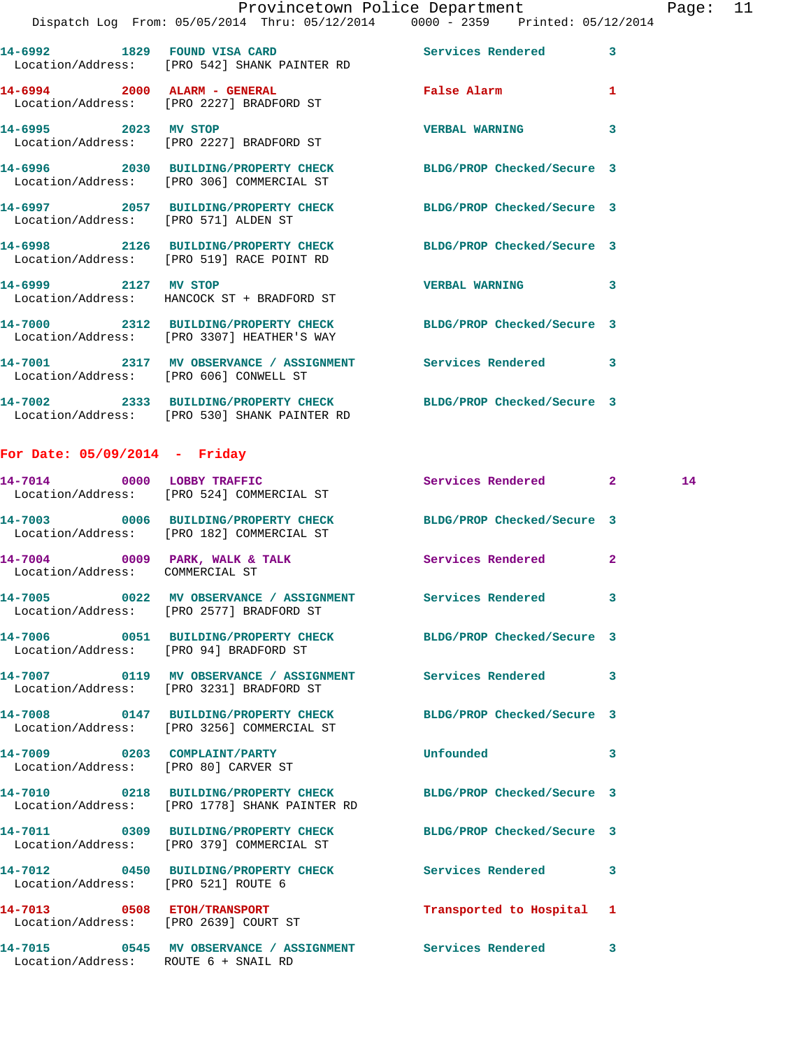|                  |      | Provincetown Police Department                                                 |                            |   |
|------------------|------|--------------------------------------------------------------------------------|----------------------------|---|
|                  |      | Dispatch Log From: 05/05/2014 Thru: 05/12/2014 0000 - 2359 Printed: 05/12/2014 |                            |   |
| 14-6992          | 1829 | FOUND VISA CARD<br>Location/Address: [PRO 542] SHANK PAINTER RD                | Services Rendered          | 3 |
| $14 - 6994$ 2000 |      | <b>ALARM - GENERAL</b><br>Location/Address: [PRO 2227] BRADFORD ST             | <b>False Alarm</b>         | 1 |
| $14 - 6995$ 2023 |      | MV STOP<br>Location/Address: [PRO 2227] BRADFORD ST                            | <b>VERBAL WARNING</b>      | 3 |
| $14 - 6996$      |      | 2030 BUILDING/PROPERTY CHECK<br>Location/Address: [PRO 306] COMMERCIAL ST      | BLDG/PROP Checked/Secure 3 |   |
|                  |      | 14-6997  2057 BUILDING/PROPERTY CHECK<br>Location/Address: [PRO 571] ALDEN ST  | BLDG/PROP Checked/Secure 3 |   |

**14-6998 2126 BUILDING/PROPERTY CHECK BLDG/PROP Checked/Secure 3**  Location/Address: [PRO 519] RACE POINT RD **14-6999 2127 MV STOP VERBAL WARNING 3**  Location/Address: HANCOCK ST + BRADFORD ST **14-7000 2312 BUILDING/PROPERTY CHECK BLDG/PROP Checked/Secure 3**  Location/Address: [PRO 3307] HEATHER'S WAY

**14-7001 2317 MV OBSERVANCE / ASSIGNMENT Services Rendered 3**  Location/Address: [PRO 606] CONWELL ST **14-7002 2333 BUILDING/PROPERTY CHECK BLDG/PROP Checked/Secure 3**  Location/Address: [PRO 530] SHANK PAINTER RD

## **For Date: 05/09/2014 - Friday**

|                                        | 14-7014 0000 LOBBY TRAFFIC<br>Location/Address: [PRO 524] COMMERCIAL ST                                          | Services Rendered 2 2 14  |                         |  |
|----------------------------------------|------------------------------------------------------------------------------------------------------------------|---------------------------|-------------------------|--|
|                                        | 14-7003 0006 BUILDING/PROPERTY CHECK BLDG/PROP Checked/Secure 3<br>Location/Address: [PRO 182] COMMERCIAL ST     |                           |                         |  |
| Location/Address: COMMERCIAL ST        | 14-7004 0009 PARK, WALK & TALK Services Rendered                                                                 |                           | $\overline{2}$          |  |
|                                        | 14-7005 0022 MV OBSERVANCE / ASSIGNMENT Services Rendered 3<br>Location/Address: [PRO 2577] BRADFORD ST          |                           |                         |  |
| Location/Address: [PRO 94] BRADFORD ST | 14-7006 0051 BUILDING/PROPERTY CHECK BLDG/PROP Checked/Secure 3                                                  |                           |                         |  |
|                                        | 14-7007 0119 MV OBSERVANCE / ASSIGNMENT Services Rendered 3<br>Location/Address: [PRO 3231] BRADFORD ST          |                           |                         |  |
|                                        | 14-7008 0147 BUILDING/PROPERTY CHECK BLDG/PROP Checked/Secure 3<br>Location/Address: [PRO 3256] COMMERCIAL ST    |                           |                         |  |
| Location/Address: [PRO 80] CARVER ST   | 14-7009 0203 COMPLAINT/PARTY                                                                                     | Unfounded                 | $\overline{\mathbf{3}}$ |  |
|                                        | 14-7010 0218 BUILDING/PROPERTY CHECK BLDG/PROP Checked/Secure 3<br>Location/Address: [PRO 1778] SHANK PAINTER RD |                           |                         |  |
|                                        | 14-7011 0309 BUILDING/PROPERTY CHECK BLDG/PROP Checked/Secure 3<br>Location/Address: [PRO 379] COMMERCIAL ST     |                           |                         |  |
| Location/Address: [PRO 521] ROUTE 6    | 14-7012 0450 BUILDING/PROPERTY CHECK Services Rendered                                                           |                           | $\overline{\mathbf{3}}$ |  |
| Location/Address: [PRO 2639] COURT ST  | 14-7013 0508 ETOH/TRANSPORT                                                                                      | Transported to Hospital 1 |                         |  |
| Location/Address: ROUTE 6 + SNAIL RD   | 14-7015 0545 MV OBSERVANCE / ASSIGNMENT Services Rendered 3                                                      |                           |                         |  |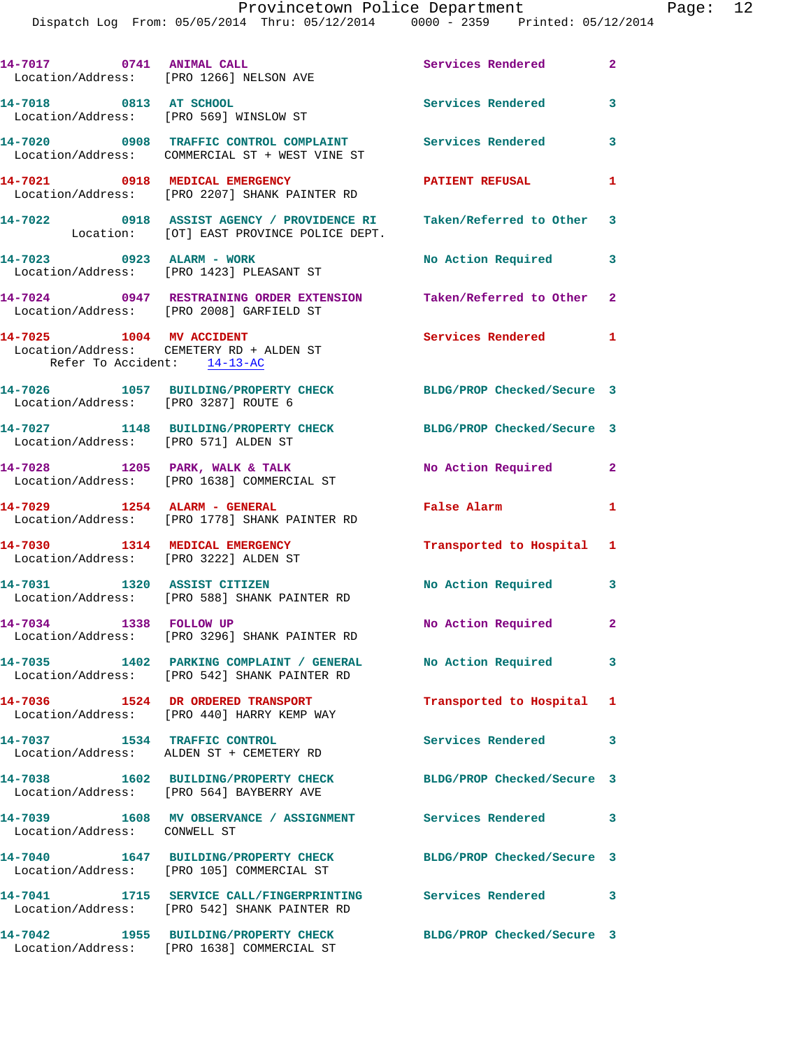|                                                                  | 14-7017 0741 ANIMAL CALL<br>Location/Address: [PRO 1266] NELSON AVE                                               | Services Rendered 2        |              |
|------------------------------------------------------------------|-------------------------------------------------------------------------------------------------------------------|----------------------------|--------------|
| 14-7018 0813 AT SCHOOL<br>Location/Address: [PRO 569] WINSLOW ST |                                                                                                                   | <b>Services Rendered</b>   | 3            |
|                                                                  | 14-7020 0908 TRAFFIC CONTROL COMPLAINT Services Rendered 3<br>Location/Address: COMMERCIAL ST + WEST VINE ST      |                            |              |
|                                                                  | 14-7021 0918 MEDICAL EMERGENCY<br>Location/Address: [PRO 2207] SHANK PAINTER RD                                   | <b>PATIENT REFUSAL</b>     | $\mathbf{1}$ |
|                                                                  | 14-7022 0918 ASSIST AGENCY / PROVIDENCE RI Taken/Referred to Other 3<br>Location: [OT] EAST PROVINCE POLICE DEPT. |                            |              |
| 14-7023 0923 ALARM - WORK                                        | Location/Address: [PRO 1423] PLEASANT ST                                                                          | No Action Required 3       |              |
|                                                                  | 14-7024 0947 RESTRAINING ORDER EXTENSION Taken/Referred to Other 2<br>Location/Address: [PRO 2008] GARFIELD ST    |                            |              |
| 14-7025 1004 MV ACCIDENT<br>Refer To Accident: 14-13-AC          | Location/Address: CEMETERY RD + ALDEN ST                                                                          | Services Rendered 1        |              |
| Location/Address: [PRO 3287] ROUTE 6                             | 14-7026 1057 BUILDING/PROPERTY CHECK BLDG/PROP Checked/Secure 3                                                   |                            |              |
| Location/Address: [PRO 571] ALDEN ST                             | 14-7027 1148 BUILDING/PROPERTY CHECK                                                                              | BLDG/PROP Checked/Secure 3 |              |
|                                                                  | 14-7028 1205 PARK, WALK & TALK<br>Location/Address: [PRO 1638] COMMERCIAL ST                                      | No Action Required 2       |              |
| 14-7029 1254 ALARM - GENERAL                                     | Location/Address: [PRO 1778] SHANK PAINTER RD                                                                     | False Alarm                | 1            |
| Location/Address: [PRO 3222] ALDEN ST                            | 14-7030 1314 MEDICAL EMERGENCY                                                                                    | Transported to Hospital 1  |              |
| 14-7031 1320 ASSIST CITIZEN                                      | Location/Address: [PRO 588] SHANK PAINTER RD                                                                      | <b>No Action Required</b>  | 3            |
| 14-7034 1338 FOLLOW UP                                           | Location/Address: [PRO 3296] SHANK PAINTER RD                                                                     | No Action Required 2       |              |
|                                                                  | 14-7035 1402 PARKING COMPLAINT / GENERAL<br>Location/Address: [PRO 542] SHANK PAINTER RD                          | No Action Required         | 3            |
|                                                                  | 14-7036 1524 DR ORDERED TRANSPORT<br>Location/Address: [PRO 440] HARRY KEMP WAY                                   | Transported to Hospital 1  |              |
| 14-7037 1534 TRAFFIC CONTROL                                     | Location/Address: ALDEN ST + CEMETERY RD                                                                          | Services Rendered 3        |              |
|                                                                  | 14-7038 1602 BUILDING/PROPERTY CHECK<br>Location/Address: [PRO 564] BAYBERRY AVE                                  | BLDG/PROP Checked/Secure 3 |              |
| Location/Address: CONWELL ST                                     | 14-7039 1608 MV OBSERVANCE / ASSIGNMENT Services Rendered 3                                                       |                            |              |
|                                                                  | 14-7040 1647 BUILDING/PROPERTY CHECK<br>Location/Address: [PRO 105] COMMERCIAL ST                                 | BLDG/PROP Checked/Secure 3 |              |
|                                                                  | 14-7041 1715 SERVICE CALL/FINGERPRINTING Services Rendered<br>Location/Address: [PRO 542] SHANK PAINTER RD        |                            | 3            |
|                                                                  | 14-7042 1955 BUILDING/PROPERTY CHECK<br>Location/Address: [PRO 1638] COMMERCIAL ST                                | BLDG/PROP Checked/Secure 3 |              |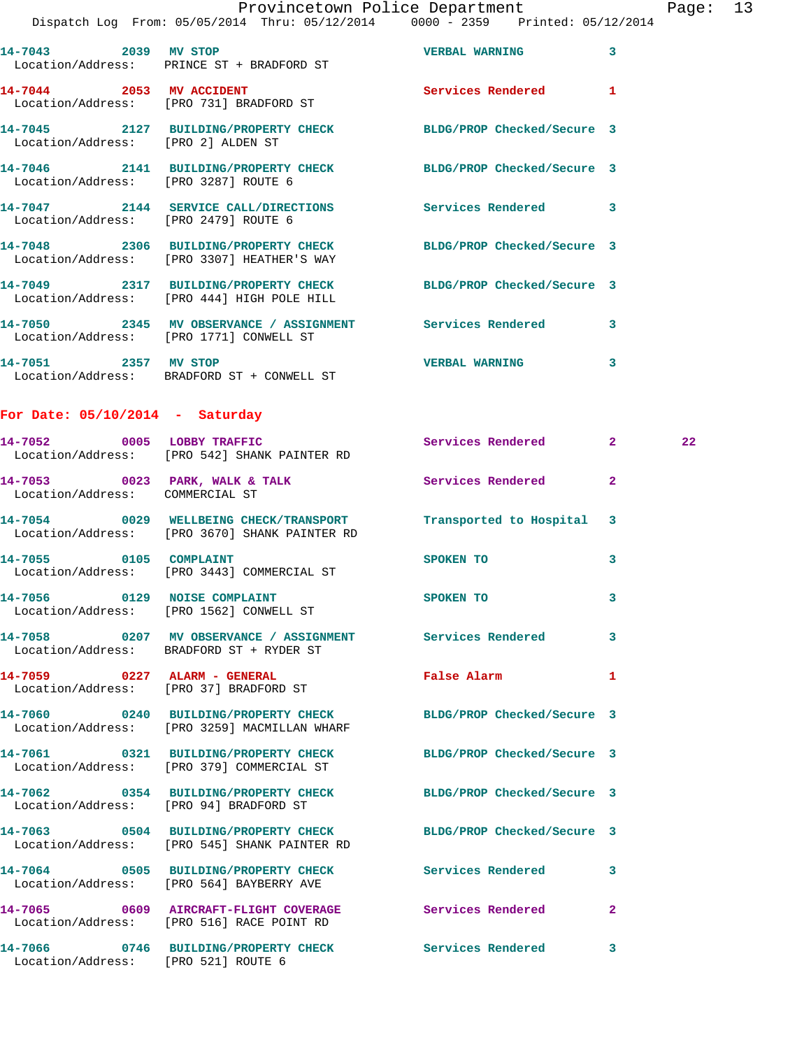Page: 13<br>2014

|                                        | Provincetown Police Department<br>Dispatch Log From: 05/05/2014 Thru: 05/12/2014 0000 - 2359 Printed: 05/12/2014  |                            |              | Page |
|----------------------------------------|-------------------------------------------------------------------------------------------------------------------|----------------------------|--------------|------|
| 14-7043 2039 MV STOP                   | Location/Address: PRINCE ST + BRADFORD ST                                                                         | <b>VERBAL WARNING 3</b>    |              |      |
|                                        | 14-7044 2053 MV ACCIDENT<br>Location/Address: [PRO 731] BRADFORD ST                                               | Services Rendered 1        |              |      |
| Location/Address: [PRO 2] ALDEN ST     | 14-7045 2127 BUILDING/PROPERTY CHECK BLDG/PROP Checked/Secure 3                                                   |                            |              |      |
|                                        | 14-7046 2141 BUILDING/PROPERTY CHECK BLDG/PROP Checked/Secure 3<br>Location/Address: [PRO 3287] ROUTE 6           |                            |              |      |
| Location/Address: [PRO 2479] ROUTE 6   | 14-7047 2144 SERVICE CALL/DIRECTIONS Services Rendered 3                                                          |                            |              |      |
|                                        | 14-7048 2306 BUILDING/PROPERTY CHECK<br>Location/Address: [PRO 3307] HEATHER'S WAY                                | BLDG/PROP Checked/Secure 3 |              |      |
|                                        | 14-7049 2317 BUILDING/PROPERTY CHECK BLDG/PROP Checked/Secure 3<br>Location/Address: [PRO 444] HIGH POLE HILL     |                            |              |      |
|                                        | 14-7050 2345 MV OBSERVANCE / ASSIGNMENT Services Rendered 3<br>Location/Address: [PRO 1771] CONWELL ST            |                            |              |      |
|                                        | 14-7051 2357 MV STOP<br>Location/Address: BRADFORD ST + CONWELL ST                                                | <b>VERBAL WARNING</b>      | 3            |      |
| For Date: $05/10/2014$ - Saturday      |                                                                                                                   |                            |              |      |
|                                        | 14-7052 0005 LOBBY TRAFFIC<br>Location/Address: [PRO 542] SHANK PAINTER RD                                        | Services Rendered 2        |              | 22   |
| Location/Address: COMMERCIAL ST        | 14-7053 0023 PARK, WALK & TALK 3 Services Rendered 2                                                              |                            |              |      |
|                                        | 14-7054 0029 WELLBEING CHECK/TRANSPORT Transported to Hospital 3<br>Location/Address: [PRO 3670] SHANK PAINTER RD |                            |              |      |
| 14-7055 0105 COMPLAINT                 | Location/Address: [PRO 3443] COMMERCIAL ST                                                                        | SPOKEN TO                  | 3            |      |
|                                        | 14-7056 0129 NOISE COMPLAINT<br>Location/Address: [PRO 1562] CONWELL ST                                           | SPOKEN TO                  | 3            |      |
|                                        | 14-7058 0207 MV OBSERVANCE / ASSIGNMENT Services Rendered<br>Location/Address: BRADFORD ST + RYDER ST             |                            | 3            |      |
|                                        | 14-7059 0227 ALARM - GENERAL<br>Location/Address: [PRO 37] BRADFORD ST                                            | False Alarm                | 1            |      |
|                                        | 14-7060 0240 BUILDING/PROPERTY CHECK<br>Location/Address: [PRO 3259] MACMILLAN WHARF                              | BLDG/PROP Checked/Secure 3 |              |      |
|                                        | 14-7061 0321 BUILDING/PROPERTY CHECK<br>Location/Address: [PRO 379] COMMERCIAL ST                                 | BLDG/PROP Checked/Secure 3 |              |      |
| Location/Address: [PRO 94] BRADFORD ST | 14-7062 0354 BUILDING/PROPERTY CHECK                                                                              | BLDG/PROP Checked/Secure 3 |              |      |
|                                        | 14-7063 0504 BUILDING/PROPERTY CHECK BLDG/PROP Checked/Secure 3<br>Location/Address: [PRO 545] SHANK PAINTER RD   |                            |              |      |
|                                        | 14-7064 0505 BUILDING/PROPERTY CHECK Services Rendered<br>Location/Address: [PRO 564] BAYBERRY AVE                |                            | 3            |      |
|                                        | 14-7065 0609 AIRCRAFT-FLIGHT COVERAGE Services Rendered<br>Location/Address: [PRO 516] RACE POINT RD              |                            | $\mathbf{2}$ |      |

**14-7066 0746 BUILDING/PROPERTY CHECK Services Rendered 3**  Location/Address: [PRO 521] ROUTE 6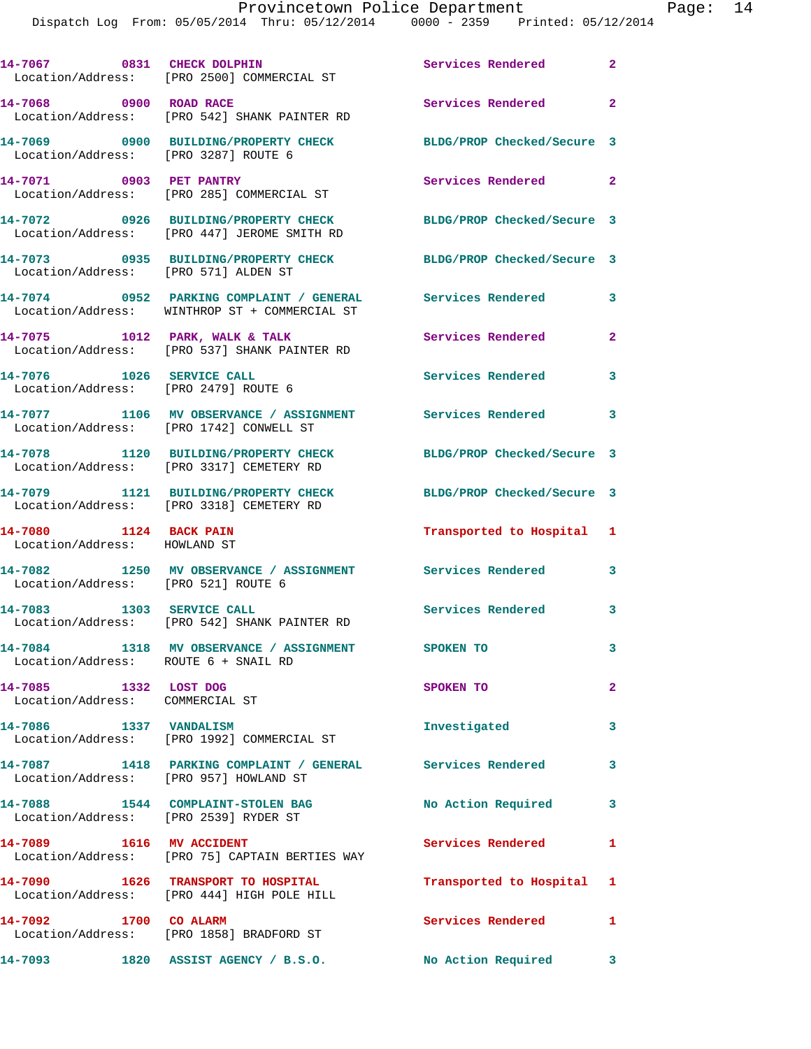Dispatch Log From: 05/05/2014 Thru: 05/12/2014 0000 - 2359 Printed: 05/12/2014

|                                                                   | 14-7067 0831 CHECK DOLPHIN<br>Location/Address: [PRO 2500] COMMERCIAL ST                                    | <b>Services Rendered</b> 2 |              |
|-------------------------------------------------------------------|-------------------------------------------------------------------------------------------------------------|----------------------------|--------------|
| 14-7068 0900 ROAD RACE                                            | Location/Address: [PRO 542] SHANK PAINTER RD                                                                | Services Rendered          | $\mathbf{2}$ |
| Location/Address: [PRO 3287] ROUTE 6                              | 14-7069 0900 BUILDING/PROPERTY CHECK                                                                        | BLDG/PROP Checked/Secure 3 |              |
|                                                                   | 14-7071 0903 PET PANTRY<br>Location/Address: [PRO 285] COMMERCIAL ST                                        | Services Rendered 2        |              |
|                                                                   | 14-7072 0926 BUILDING/PROPERTY CHECK<br>Location/Address: [PRO 447] JEROME SMITH RD                         | BLDG/PROP Checked/Secure 3 |              |
| Location/Address: [PRO 571] ALDEN ST                              | 14-7073 0935 BUILDING/PROPERTY CHECK                                                                        | BLDG/PROP Checked/Secure 3 |              |
|                                                                   | 14-7074 0952 PARKING COMPLAINT / GENERAL Services Rendered<br>Location/Address: WINTHROP ST + COMMERCIAL ST |                            | 3            |
|                                                                   | 14-7075 1012 PARK, WALK & TALK<br>Location/Address: [PRO 537] SHANK PAINTER RD                              | Services Rendered          | $\mathbf{2}$ |
| 14-7076 1026 SERVICE CALL<br>Location/Address: [PRO 2479] ROUTE 6 |                                                                                                             | <b>Services Rendered</b>   | 3            |
|                                                                   | 14-7077 1106 MV OBSERVANCE / ASSIGNMENT Services Rendered 3<br>Location/Address: [PRO 1742] CONWELL ST      |                            |              |
|                                                                   | 14-7078 1120 BUILDING/PROPERTY CHECK<br>Location/Address: [PRO 3317] CEMETERY RD                            | BLDG/PROP Checked/Secure 3 |              |
|                                                                   | 14-7079 1121 BUILDING/PROPERTY CHECK<br>Location/Address: [PRO 3318] CEMETERY RD                            | BLDG/PROP Checked/Secure 3 |              |
| 14-7080 1124 BACK PAIN<br>Location/Address: HOWLAND ST            |                                                                                                             | Transported to Hospital 1  |              |
| Location/Address: [PRO 521] ROUTE 6                               | 14-7082 1250 MV OBSERVANCE / ASSIGNMENT Services Rendered 3                                                 |                            |              |
|                                                                   | 14-7083 1303 SERVICE CALL<br>Location/Address: [PRO 542] SHANK PAINTER RD                                   | Services Rendered 3        |              |
| Location/Address: ROUTE 6 + SNAIL RD                              | 14-7084 1318 MV OBSERVANCE / ASSIGNMENT SPOKEN TO                                                           |                            | 3            |
| 14-7085 1332 LOST DOG<br>Location/Address: COMMERCIAL ST          |                                                                                                             | SPOKEN TO                  | $\mathbf{2}$ |
| 14-7086 1337 VANDALISM                                            | Location/Address: [PRO 1992] COMMERCIAL ST                                                                  | Investigated               | 3            |
| Location/Address: [PRO 957] HOWLAND ST                            | 14-7087 1418 PARKING COMPLAINT / GENERAL Services Rendered                                                  |                            | 3            |
| Location/Address: [PRO 2539] RYDER ST                             | 14-7088 1544 COMPLAINT-STOLEN BAG                                                                           | No Action Required 3       |              |
| 14-7089    1616    MV    ACCIDENT                                 | Location/Address: [PRO 75] CAPTAIN BERTIES WAY                                                              | Services Rendered          | 1            |
|                                                                   | 14-7090 1626 TRANSPORT TO HOSPITAL<br>Location/Address: [PRO 444] HIGH POLE HILL                            | Transported to Hospital 1  |              |
| 14-7092 1700 CO ALARM                                             | Location/Address: [PRO 1858] BRADFORD ST                                                                    | Services Rendered 1        |              |
|                                                                   | 14-7093 1820 ASSIST AGENCY / B.S.O.                                                                         | No Action Required 3       |              |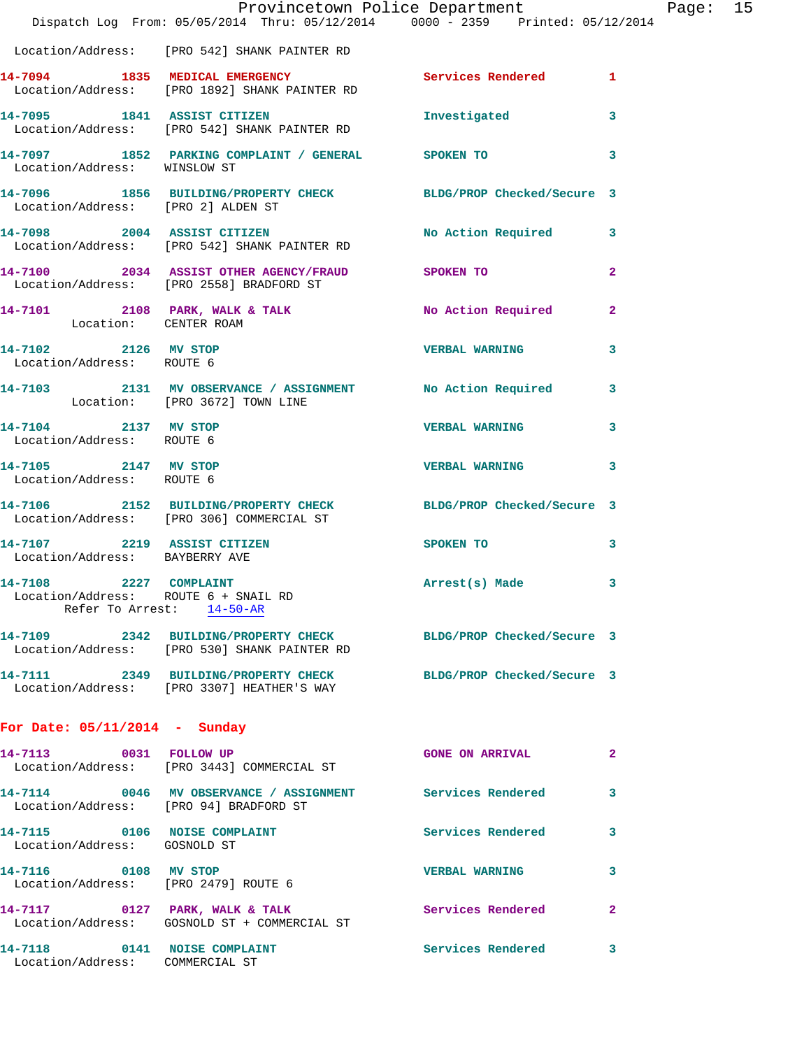|                                                                 | Dispatch Log From: 05/05/2014 Thru: 05/12/2014 0000 - 2359 Printed: 05/12/2014                                  | Provincetown Police Department Page: 15 |              |  |
|-----------------------------------------------------------------|-----------------------------------------------------------------------------------------------------------------|-----------------------------------------|--------------|--|
|                                                                 | Location/Address: [PRO 542] SHANK PAINTER RD                                                                    |                                         |              |  |
|                                                                 | 14-7094 1835 MEDICAL EMERGENCY Services Rendered 1<br>Location/Address: [PRO 1892] SHANK PAINTER RD             |                                         |              |  |
|                                                                 | 14-7095 1841 ASSIST CITIZEN<br>Location/Address: [PRO 542] SHANK PAINTER RD                                     | Investigated                            | 3            |  |
| Location/Address: WINSLOW ST                                    | 14-7097 1852 PARKING COMPLAINT / GENERAL SPOKEN TO                                                              |                                         | 3            |  |
| Location/Address: [PRO 2] ALDEN ST                              | 14-7096 1856 BUILDING/PROPERTY CHECK BLDG/PROP Checked/Secure 3                                                 |                                         |              |  |
|                                                                 | 14-7098 2004 ASSIST CITIZEN No Action Required 3<br>Location/Address: [PRO 542] SHANK PAINTER RD                |                                         |              |  |
|                                                                 | 14-7100 2034 ASSIST OTHER AGENCY/FRAUD SPOKEN TO<br>Location/Address: [PRO 2558] BRADFORD ST                    |                                         | $\mathbf{2}$ |  |
| Location: CENTER ROAM                                           | 14-7101 2108 PARK, WALK & TALK NO Action Required                                                               |                                         | $\mathbf{2}$ |  |
| 14-7102 2126 MV STOP<br>Location/Address: ROUTE 6               |                                                                                                                 | <b>VERBAL WARNING</b>                   | 3            |  |
| Location: [PRO 3672] TOWN LINE                                  | 14-7103 2131 MV OBSERVANCE / ASSIGNMENT No Action Required 3                                                    |                                         |              |  |
| 14-7104 2137 MV STOP<br>Location/Address: ROUTE 6               |                                                                                                                 | <b>VERBAL WARNING 3</b>                 |              |  |
| 14-7105 2147 MV STOP<br>Location/Address: ROUTE 6               |                                                                                                                 | <b>VERBAL WARNING</b>                   | 3            |  |
|                                                                 | 14-7106 2152 BUILDING/PROPERTY CHECK BLDG/PROP Checked/Secure 3<br>Location/Address: [PRO 306] COMMERCIAL ST    |                                         |              |  |
| Location/Address: BAYBERRY AVE                                  | 14-7107 2219 ASSIST CITIZEN                                                                                     | SPOKEN TO                               | 3            |  |
| 2227 COMPLAINT<br>14-7108                                       | Location/Address: ROUTE 6 + SNAIL RD<br>Refer To Arrest: 14-50-AR                                               | Arrest(s) Made                          | 3            |  |
|                                                                 | 14-7109 2342 BUILDING/PROPERTY CHECK BLDG/PROP Checked/Secure 3<br>Location/Address: [PRO 530] SHANK PAINTER RD |                                         |              |  |
|                                                                 | 14-7111 2349 BUILDING/PROPERTY CHECK<br>Location/Address: [PRO 3307] HEATHER'S WAY                              | BLDG/PROP Checked/Secure 3              |              |  |
| For Date: $05/11/2014$ - Sunday                                 |                                                                                                                 |                                         |              |  |
|                                                                 | 14-7113 0031 FOLLOW UP<br>Location/Address: [PRO 3443] COMMERCIAL ST                                            | <b>GONE ON ARRIVAL</b>                  | 2            |  |
| Location/Address: [PRO 94] BRADFORD ST                          | 14-7114 0046 MV OBSERVANCE / ASSIGNMENT Services Rendered                                                       |                                         | 3            |  |
| 14-7115 0106 NOISE COMPLAINT<br>Location/Address: GOSNOLD ST    |                                                                                                                 | Services Rendered 3                     |              |  |
| 14-7116 0108 MV STOP<br>Location/Address: [PRO 2479] ROUTE 6    |                                                                                                                 | <b>VERBAL WARNING</b>                   | 3            |  |
|                                                                 | 14-7117 0127 PARK, WALK & TALK<br>Location/Address: GOSNOLD ST + COMMERCIAL ST                                  | Services Rendered                       | $\mathbf{2}$ |  |
| 14-7118 0141 NOISE COMPLAINT<br>Location/Address: COMMERCIAL ST |                                                                                                                 | Services Rendered                       | 3            |  |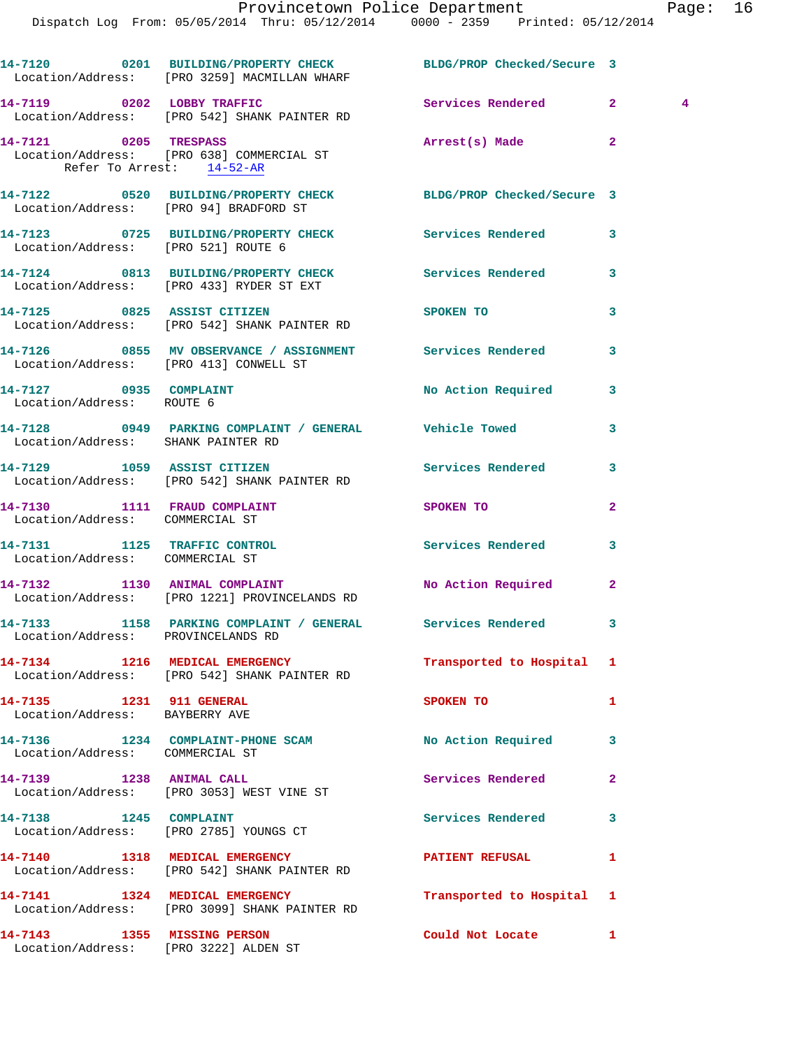|                                                                 | 14-7120 0201 BUILDING/PROPERTY CHECK BLDG/PROP Checked/Secure 3<br>Location/Address: [PRO 3259] MACMILLAN WHARF |                           |                                  |  |
|-----------------------------------------------------------------|-----------------------------------------------------------------------------------------------------------------|---------------------------|----------------------------------|--|
|                                                                 | 14-7119 0202 LOBBY TRAFFIC<br>Location/Address: [PRO 542] SHANK PAINTER RD                                      | <b>Services Rendered</b>  | 2 <sup>1</sup><br>$\overline{4}$ |  |
| Refer To Arrest: 14-52-AR                                       | 14-7121 0205 TRESPASS<br>Location/Address: [PRO 638] COMMERCIAL ST                                              | Arrest(s) Made            | $\overline{a}$                   |  |
| Location/Address: [PRO 94] BRADFORD ST                          | 14-7122 0520 BUILDING/PROPERTY CHECK BLDG/PROP Checked/Secure 3                                                 |                           |                                  |  |
| Location/Address: [PRO 521] ROUTE 6                             | 14-7123 0725 BUILDING/PROPERTY CHECK Services Rendered                                                          |                           | 3                                |  |
|                                                                 | 14-7124 0813 BUILDING/PROPERTY CHECK<br>Location/Address: [PRO 433] RYDER ST EXT                                | Services Rendered         | 3                                |  |
|                                                                 | 14-7125 0825 ASSIST CITIZEN<br>Location/Address: [PRO 542] SHANK PAINTER RD                                     | SPOKEN TO                 | 3                                |  |
| Location/Address: [PRO 413] CONWELL ST                          |                                                                                                                 |                           | 3                                |  |
| 14-7127 0935 COMPLAINT<br>Location/Address: ROUTE 6             |                                                                                                                 | No Action Required        | 3                                |  |
| Location/Address: SHANK PAINTER RD                              | 14-7128 0949 PARKING COMPLAINT / GENERAL Vehicle Towed                                                          |                           | 3                                |  |
|                                                                 | 14-7129 1059 ASSIST CITIZEN<br>Location/Address: [PRO 542] SHANK PAINTER RD                                     | Services Rendered         | 3                                |  |
| 14-7130 1111 FRAUD COMPLAINT<br>Location/Address: COMMERCIAL ST |                                                                                                                 | SPOKEN TO                 | $\overline{2}$                   |  |
| 14-7131 1125 TRAFFIC CONTROL<br>Location/Address: COMMERCIAL ST |                                                                                                                 | Services Rendered         | 3                                |  |
|                                                                 | 14-7132 1130 ANIMAL COMPLAINT<br>Location/Address: [PRO 1221] PROVINCELANDS RD                                  | No Action Required        | $\mathbf{2}$                     |  |
|                                                                 | 14-7133 1158 PARKING COMPLAINT / GENERAL Services Rendered<br>Location/Address: PROVINCELANDS RD                |                           | 3                                |  |
|                                                                 | 14-7134 1216 MEDICAL EMERGENCY<br>Location/Address: [PRO 542] SHANK PAINTER RD                                  | Transported to Hospital 1 |                                  |  |
| 14-7135 1231 911 GENERAL<br>Location/Address: BAYBERRY AVE      |                                                                                                                 | SPOKEN TO                 | 1                                |  |
| Location/Address: COMMERCIAL ST                                 | 14-7136 1234 COMPLAINT-PHONE SCAM                                                                               | No Action Required        | 3                                |  |
|                                                                 | 14-7139 1238 ANIMAL CALL<br>Location/Address: [PRO 3053] WEST VINE ST                                           | Services Rendered         | $\overline{a}$                   |  |
| 14-7138 1245 COMPLAINT                                          | Location/Address: [PRO 2785] YOUNGS CT                                                                          | Services Rendered         | 3                                |  |
|                                                                 | 14-7140 1318 MEDICAL EMERGENCY<br>Location/Address: [PRO 542] SHANK PAINTER RD                                  | <b>PATIENT REFUSAL</b>    | 1                                |  |
|                                                                 | 14-7141 1324 MEDICAL EMERGENCY<br>Location/Address: [PRO 3099] SHANK PAINTER RD                                 | Transported to Hospital   | 1                                |  |
| 14-7143 1355 MISSING PERSON                                     | Location/Address: [PRO 3222] ALDEN ST                                                                           | Could Not Locate          | 1                                |  |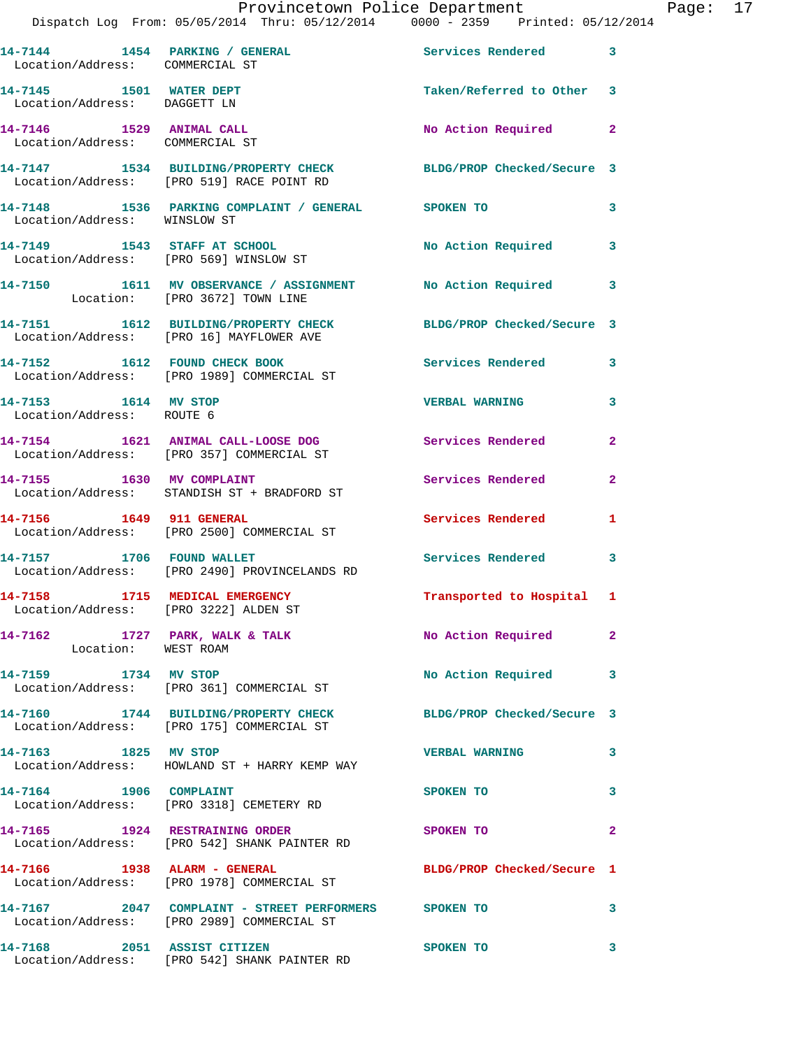Provincetown Police Department<br>14 Thru: 05/12/2014 0000 - 2359 Printed: 05/12/2014

| Location/Address: COMMERCIAL ST                                         | 14-7144 1454 PARKING / GENERAL                                                                               | Services Rendered          | 3            |
|-------------------------------------------------------------------------|--------------------------------------------------------------------------------------------------------------|----------------------------|--------------|
| 14-7145    1501    WATER DEPT<br>Location/Address: DAGGETT LN           |                                                                                                              | Taken/Referred to Other 3  |              |
| 14-7146 1529 ANIMAL CALL<br>Location/Address: COMMERCIAL ST             |                                                                                                              | No Action Required         | $\mathbf{2}$ |
|                                                                         | 14-7147 1534 BUILDING/PROPERTY CHECK BLDG/PROP Checked/Secure 3<br>Location/Address: [PRO 519] RACE POINT RD |                            |              |
| Location/Address: WINSLOW ST                                            | 14-7148 1536 PARKING COMPLAINT / GENERAL SPOKEN TO                                                           |                            | 3            |
|                                                                         | 14-7149 1543 STAFF AT SCHOOL<br>Location/Address: [PRO 569] WINSLOW ST                                       | No Action Required         | 3            |
|                                                                         | 14-7150 1611 MV OBSERVANCE / ASSIGNMENT No Action Required<br>Location: [PRO 3672] TOWN LINE                 |                            | 3            |
|                                                                         | 14-7151 1612 BUILDING/PROPERTY CHECK BLDG/PROP Checked/Secure 3<br>Location/Address: [PRO 16] MAYFLOWER AVE  |                            |              |
|                                                                         | 14-7152 1612 FOUND CHECK BOOK<br>Location/Address: [PRO 1989] COMMERCIAL ST                                  | <b>Services Rendered</b>   | 3            |
| 14-7153 1614 MV STOP<br>Location/Address: ROUTE 6                       |                                                                                                              | <b>VERBAL WARNING</b>      | 3            |
|                                                                         | 14-7154 1621 ANIMAL CALL-LOOSE DOG Services Rendered<br>Location/Address: [PRO 357] COMMERCIAL ST            |                            | $\mathbf{2}$ |
|                                                                         | 14-7155 1630 MV COMPLAINT<br>Location/Address: STANDISH ST + BRADFORD ST                                     | Services Rendered          | $\mathbf{2}$ |
| 14-7156 1649 911 GENERAL                                                | Location/Address: [PRO 2500] COMMERCIAL ST                                                                   | Services Rendered          | 1            |
|                                                                         | 14-7157 1706 FOUND WALLET<br>Location/Address: [PRO 2490] PROVINCELANDS RD                                   | <b>Services Rendered</b>   | 3            |
| 14-7158 1715 MEDICAL EMERGENCY<br>Location/Address: [PRO 3222] ALDEN ST |                                                                                                              | Transported to Hospital 1  |              |
| 14-7162 1727 PARK, WALK & TALK<br>Location: WEST ROAM                   |                                                                                                              | No Action Required         | $\mathbf{2}$ |
| 14-7159 1734 MV STOP                                                    | Location/Address: [PRO 361] COMMERCIAL ST                                                                    | <b>No Action Required</b>  | 3            |
|                                                                         | 14-7160 1744 BUILDING/PROPERTY CHECK BLDG/PROP Checked/Secure 3<br>Location/Address: [PRO 175] COMMERCIAL ST |                            |              |
| 14-7163 1825 MV STOP                                                    | Location/Address: HOWLAND ST + HARRY KEMP WAY                                                                | <b>VERBAL WARNING</b>      | 3            |
| 14-7164 1906 COMPLAINT                                                  | Location/Address: [PRO 3318] CEMETERY RD                                                                     | <b>SPOKEN TO</b>           | 3            |
| 14-7165 1924 RESTRAINING ORDER                                          | Location/Address: [PRO 542] SHANK PAINTER RD                                                                 | SPOKEN TO                  | $\mathbf{2}$ |
|                                                                         | 14-7166 1938 ALARM - GENERAL<br>Location/Address: [PRO 1978] COMMERCIAL ST                                   | BLDG/PROP Checked/Secure 1 |              |
|                                                                         | 14-7167 		 2047 COMPLAINT - STREET PERFORMERS SPOKEN TO<br>Location/Address: [PRO 2989] COMMERCIAL ST        |                            | 3            |
|                                                                         | 14-7168 2051 ASSIST CITIZEN<br>Location/Address: [PRO 542] SHANK PAINTER RD                                  | <b>SPOKEN TO</b>           | 3            |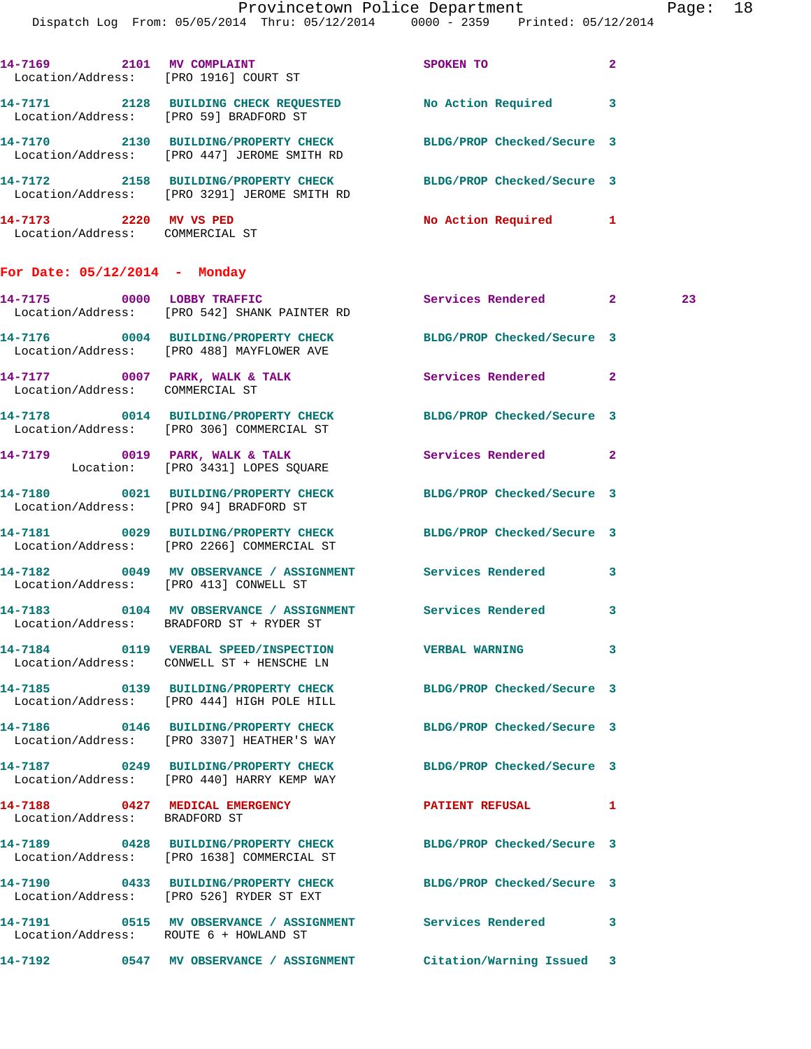Dispatch Log From: 05/05/2014 Thru: 05/12/2014 0000 - 2359 Printed: 05/12/2014

| 14-7169<br>2101<br>Location/Address: [PRO 1916] COURT ST | MV COMPLAINT                                                 | <b>SPOKEN TO</b>           | $\overline{\mathbf{2}}$ |
|----------------------------------------------------------|--------------------------------------------------------------|----------------------------|-------------------------|
| 14-7171<br>2128<br>Location/Address:                     | <b>BUILDING CHECK REOUESTED</b><br>[PRO 59] BRADFORD ST      | No Action Required         | 3                       |
| 14-7170<br>2130<br>Location/Address:                     | <b>BUILDING/PROPERTY CHECK</b><br>FRO 4471 JEROME SMITH RD   | BLDG/PROP Checked/Secure 3 |                         |
| 14-7172<br>2158<br>Location/Address:                     | <b>BUILDING/PROPERTY CHECK</b><br>FPRO 32911 JEROME SMITH RD | BLDG/PROP Checked/Secure 3 |                         |
| 14-7173<br>2220<br>Location/Address:                     | MV VS PED<br>COMMERCIAL ST                                   | No Action Required         |                         |

## **For Date: 05/12/2014 - Monday**

|                                 | 14-7175 0000 LOBBY TRAFFIC<br>Location/Address: [PRO 542] SHANK PAINTER RD                                         | Services Rendered 2        |   | 23 |
|---------------------------------|--------------------------------------------------------------------------------------------------------------------|----------------------------|---|----|
|                                 | 14-7176 0004 BUILDING/PROPERTY CHECK<br>Location/Address: [PRO 488] MAYFLOWER AVE                                  | BLDG/PROP Checked/Secure 3 |   |    |
| Location/Address: COMMERCIAL ST | 14-7177 0007 PARK, WALK & TALK 3 Services Rendered 2                                                               |                            |   |    |
|                                 | 14-7178 0014 BUILDING/PROPERTY CHECK BLDG/PROP Checked/Secure 3<br>Location/Address: [PRO 306] COMMERCIAL ST       |                            |   |    |
|                                 | 14-7179 0019 PARK, WALK & TALK<br>Location: [PRO 3431] LOPES SQUARE                                                | Services Rendered 2        |   |    |
|                                 | 14-7180 0021 BUILDING/PROPERTY CHECK BLDG/PROP Checked/Secure 3<br>Location/Address: [PRO 94] BRADFORD ST          |                            |   |    |
|                                 | 14-7181 0029 BUILDING/PROPERTY CHECK BLDG/PROP Checked/Secure 3<br>Location/Address: [PRO 2266] COMMERCIAL ST      |                            |   |    |
|                                 | 14-7182 0049 MV OBSERVANCE / ASSIGNMENT<br>Location/Address: [PRO 413] CONWELL ST                                  | <b>Services Rendered</b>   | 3 |    |
|                                 | 14-7183 0104 MV OBSERVANCE / ASSIGNMENT Services Rendered 3<br>Location/Address: BRADFORD ST + RYDER ST            |                            |   |    |
|                                 | 14-7184 0119 VERBAL SPEED/INSPECTION VERBAL WARNING 3<br>Location/Address: CONWELL ST + HENSCHE LN                 |                            |   |    |
|                                 | 14-7185 0139 BUILDING/PROPERTY CHECK<br>Location/Address: [PRO 444] HIGH POLE HILL                                 | BLDG/PROP Checked/Secure 3 |   |    |
|                                 | 14-7186 0146 BUILDING/PROPERTY CHECK<br>Location/Address: [PRO 3307] HEATHER'S WAY                                 | BLDG/PROP Checked/Secure 3 |   |    |
|                                 | 14-7187 		 0249 BUILDING/PROPERTY CHECK 		BLDG/PROP Checked/Secure 3<br>Location/Address: [PRO 440] HARRY KEMP WAY |                            |   |    |
| Location/Address: BRADFORD ST   | 14-7188 0427 MEDICAL EMERGENCY                                                                                     | PATIENT REFUSAL 1          |   |    |
|                                 |                                                                                                                    |                            |   |    |
|                                 | 14-7190 0433 BUILDING/PROPERTY CHECK BLDG/PROP Checked/Secure 3<br>Location/Address: [PRO 526] RYDER ST EXT        |                            |   |    |
|                                 | 14-7191 0515 MV OBSERVANCE / ASSIGNMENT Services Rendered 3<br>Location/Address: ROUTE 6 + HOWLAND ST              |                            |   |    |
|                                 | 14-7192 0547 MV OBSERVANCE / ASSIGNMENT                                                                            | Citation/Warning Issued 3  |   |    |